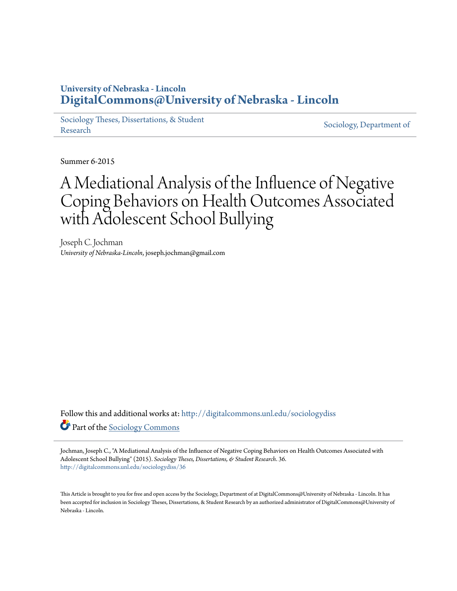# **University of Nebraska - Lincoln [DigitalCommons@University of Nebraska - Lincoln](http://digitalcommons.unl.edu?utm_source=digitalcommons.unl.edu%2Fsociologydiss%2F36&utm_medium=PDF&utm_campaign=PDFCoverPages)**

[Sociology Theses, Dissertations, & Student](http://digitalcommons.unl.edu/sociologydiss?utm_source=digitalcommons.unl.edu%2Fsociologydiss%2F36&utm_medium=PDF&utm_campaign=PDFCoverPages) [Research](http://digitalcommons.unl.edu/sociologydiss?utm_source=digitalcommons.unl.edu%2Fsociologydiss%2F36&utm_medium=PDF&utm_campaign=PDFCoverPages) Sociology, Dissertations, & Student [Sociology, Department of](http://digitalcommons.unl.edu/sociology?utm_source=digitalcommons.unl.edu%2Fsociologydiss%2F36&utm_medium=PDF&utm_campaign=PDFCoverPages)

Summer 6-2015

# A Mediational Analysis of the Influence of Negative Coping Behaviors on Health Outcomes Associated with Adolescent School Bullying

Joseph C. Jochman *University of Nebraska-Lincoln*, joseph.jochman@gmail.com

Follow this and additional works at: [http://digitalcommons.unl.edu/sociologydiss](http://digitalcommons.unl.edu/sociologydiss?utm_source=digitalcommons.unl.edu%2Fsociologydiss%2F36&utm_medium=PDF&utm_campaign=PDFCoverPages) Part of the [Sociology Commons](http://network.bepress.com/hgg/discipline/416?utm_source=digitalcommons.unl.edu%2Fsociologydiss%2F36&utm_medium=PDF&utm_campaign=PDFCoverPages)

Jochman, Joseph C., "A Mediational Analysis of the Influence of Negative Coping Behaviors on Health Outcomes Associated with Adolescent School Bullying" (2015). *Sociology Theses, Dissertations, & Student Research*. 36. [http://digitalcommons.unl.edu/sociologydiss/36](http://digitalcommons.unl.edu/sociologydiss/36?utm_source=digitalcommons.unl.edu%2Fsociologydiss%2F36&utm_medium=PDF&utm_campaign=PDFCoverPages)

This Article is brought to you for free and open access by the Sociology, Department of at DigitalCommons@University of Nebraska - Lincoln. It has been accepted for inclusion in Sociology Theses, Dissertations, & Student Research by an authorized administrator of DigitalCommons@University of Nebraska - Lincoln.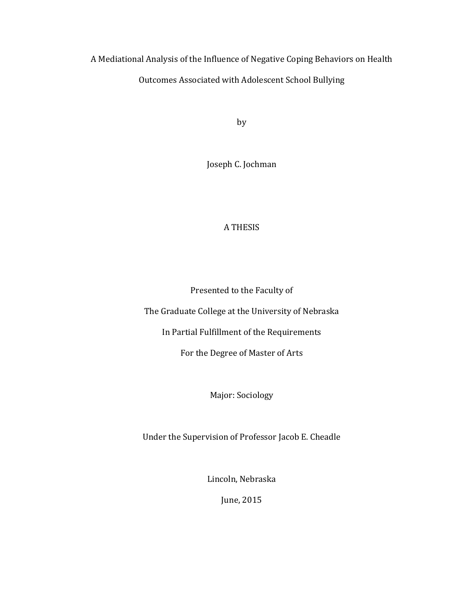A Mediational Analysis of the Influence of Negative Coping Behaviors on Health Outcomes Associated with Adolescent School Bullying

by

Joseph C. Jochman

# **A THESIS**

Presented to the Faculty of

The Graduate College at the University of Nebraska

In Partial Fulfillment of the Requirements

For the Degree of Master of Arts

Major: Sociology

Under the Supervision of Professor Jacob E. Cheadle

Lincoln, Nebraska

June, 2015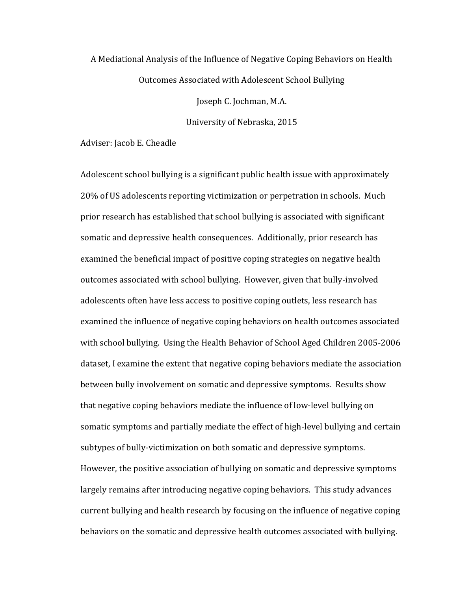# A Mediational Analysis of the Influence of Negative Coping Behaviors on Health Outcomes Associated with Adolescent School Bullying

Joseph C. Jochman, M.A.

University of Nebraska, 2015

Adviser: Jacob E. Cheadle

Adolescent school bullying is a significant public health issue with approximately 20% of US adolescents reporting victimization or perpetration in schools. Much prior research has established that school bullying is associated with significant somatic and depressive health consequences. Additionally, prior research has examined the beneficial impact of positive coping strategies on negative health outcomes associated with school bullying. However, given that bully-involved adolescents often have less access to positive coping outlets, less research has examined the influence of negative coping behaviors on health outcomes associated with school bullying. Using the Health Behavior of School Aged Children 2005-2006 dataset, I examine the extent that negative coping behaviors mediate the association between bully involvement on somatic and depressive symptoms. Results show that negative coping behaviors mediate the influence of low-level bullying on somatic symptoms and partially mediate the effect of high-level bullying and certain subtypes of bully-victimization on both somatic and depressive symptoms. However, the positive association of bullying on somatic and depressive symptoms largely remains after introducing negative coping behaviors. This study advances current bullying and health research by focusing on the influence of negative coping" behaviors on the somatic and depressive health outcomes associated with bullying.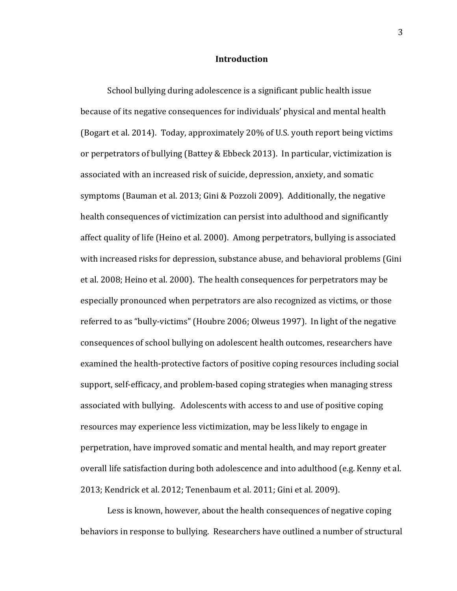#### **Introduction**

School bullying during adolescence is a significant public health issue because of its negative consequences for individuals' physical and mental health (Bogart et al. 2014). Today, approximately 20% of U.S. youth report being victims or perpetrators of bullying (Battey & Ebbeck 2013). In particular, victimization is associated with an increased risk of suicide, depression, anxiety, and somatic symptoms (Bauman et al. 2013; Gini & Pozzoli 2009). Additionally, the negative health consequences of victimization can persist into adulthood and significantly affect quality of life (Heino et al. 2000). Among perpetrators, bullying is associated with increased risks for depression, substance abuse, and behavioral problems (Gini et al. 2008; Heino et al. 2000). The health consequences for perpetrators may be especially pronounced when perpetrators are also recognized as victims, or those referred to as "bully-victims" (Houbre 2006; Olweus 1997). In light of the negative consequences of school bullying on adolescent health outcomes, researchers have examined the health-protective factors of positive coping resources including social support, self-efficacy, and problem-based coping strategies when managing stress associated with bullying. Adolescents with access to and use of positive coping resources may experience less victimization, may be less likely to engage in perpetration, have improved somatic and mental health, and may report greater overall life satisfaction during both adolescence and into adulthood (e.g. Kenny et al." 2013; Kendrick et al. 2012; Tenenbaum et al. 2011; Gini et al. 2009).

Less is known, however, about the health consequences of negative coping" behaviors in response to bullying. Researchers have outlined a number of structural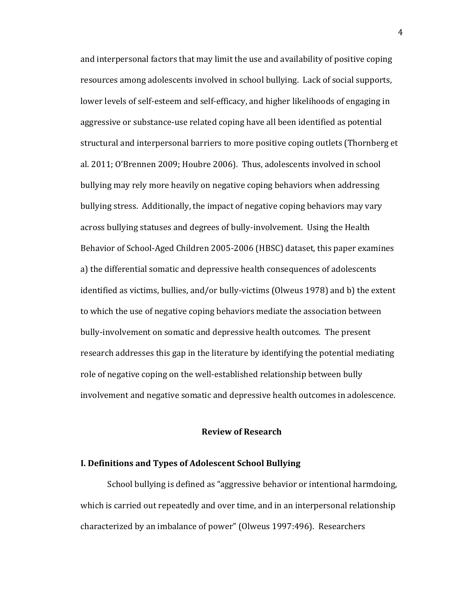and interpersonal factors that may limit the use and availability of positive coping resources among adolescents involved in school bullying. Lack of social supports, lower levels of self-esteem and self-efficacy, and higher likelihoods of engaging in aggressive or substance-use related coping have all been identified as potential structural and interpersonal barriers to more positive coping outlets (Thornberg et al. 2011; O'Brennen 2009; Houbre 2006). Thus, adolescents involved in school bullying may rely more heavily on negative coping behaviors when addressing bullying stress. Additionally, the impact of negative coping behaviors may vary across bullying statuses and degrees of bully-involvement. Using the Health Behavior of School-Aged Children 2005-2006 (HBSC) dataset, this paper examines a) the differential somatic and depressive health consequences of adolescents identified as victims, bullies, and/or bully-victims (Olweus 1978) and b) the extent to which the use of negative coping behaviors mediate the association between" bully-involvement on somatic and depressive health outcomes. The present research addresses this gap in the literature by identifying the potential mediating role of negative coping on the well-established relationship between bully involvement and negative somatic and depressive health outcomes in adolescence.

## **Review!of!Research**

### **I. Definitions and Types of Adolescent School Bullying**

School bullying is defined as "aggressive behavior or intentional harmdoing, which is carried out repeatedly and over time, and in an interpersonal relationship" characterized by an imbalance of power" (Olweus 1997:496). Researchers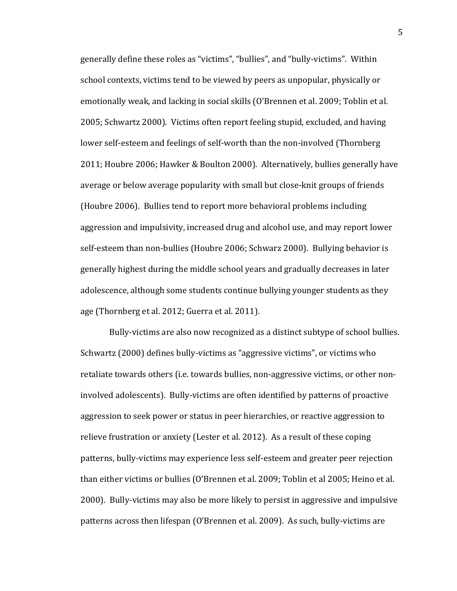generally define these roles as "victims", "bullies", and "bully-victims". Within school contexts, victims tend to be viewed by peers as unpopular, physically or emotionally weak, and lacking in social skills (O'Brennen et al. 2009; Toblin et al. 2005; Schwartz 2000). Victims often report feeling stupid, excluded, and having lower self-esteem and feelings of self-worth than the non-involved (Thornberg 2011; Houbre 2006; Hawker & Boulton 2000). Alternatively, bullies generally have average or below average popularity with small but close-knit groups of friends (Houbre 2006). Bullies tend to report more behavioral problems including aggression and impulsivity, increased drug and alcohol use, and may report lower self-esteem than non-bullies (Houbre 2006; Schwarz 2000). Bullying behavior is generally highest during the middle school years and gradually decreases in later adolescence, although some students continue bullying younger students as they age (Thornberg et al. 2012; Guerra et al. 2011).

Bully-victims are also now recognized as a distinct subtype of school bullies. Schwartz (2000) defines bully-victims as "aggressive victims", or victims who retaliate towards others (i.e. towards bullies, non-aggressive victims, or other noninvolved adolescents). Bully-victims are often identified by patterns of proactive aggression to seek power or status in peer hierarchies, or reactive aggression to relieve frustration or anxiety (Lester et al. 2012). As a result of these coping patterns, bully-victims may experience less self-esteem and greater peer rejection than either victims or bullies (O'Brennen et al. 2009; Toblin et al 2005; Heino et al. 2000). Bully-victims may also be more likely to persist in aggressive and impulsive patterns across then lifespan (O'Brennen et al. 2009). As such, bully-victims are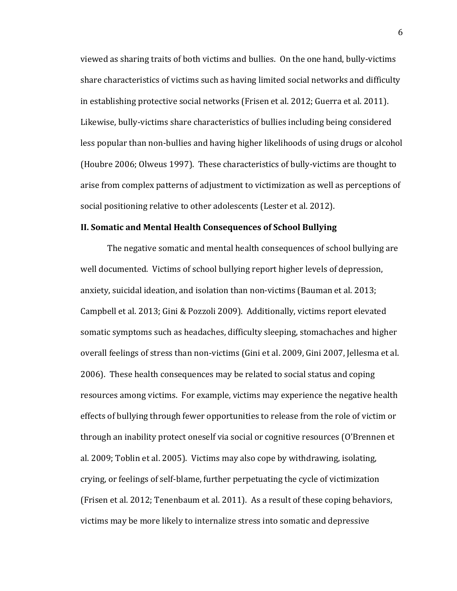viewed as sharing traits of both victims and bullies. On the one hand, bully-victims share characteristics of victims such as having limited social networks and difficulty in establishing protective social networks (Frisen et al. 2012; Guerra et al. 2011). Likewise, bully-victims share characteristics of bullies including being considered less popular than non-bullies and having higher likelihoods of using drugs or alcohol (Houbre 2006; Olweus 1997). These characteristics of bully-victims are thought to arise from complex patterns of adjustment to victimization as well as perceptions of social positioning relative to other adolescents (Lester et al. 2012).

#### **II. Somatic and Mental Health Consequences of School Bullying**

The negative somatic and mental health consequences of school bullying are well documented. Victims of school bullying report higher levels of depression, anxiety, suicidal ideation, and isolation than non-victims (Bauman et al.  $2013$ ; Campbell et al. 2013; Gini & Pozzoli 2009). Additionally, victims report elevated somatic symptoms such as headaches, difficulty sleeping, stomachaches and higher overall feelings of stress than non-victims (Gini et al. 2009, Gini 2007, Jellesma et al. 2006). These health consequences may be related to social status and coping resources among victims. For example, victims may experience the negative health effects of bullying through fewer opportunities to release from the role of victim or through an inability protect oneself via social or cognitive resources (O'Brennen et al. 2009; Toblin et al. 2005). Victims may also cope by withdrawing, isolating, crying, or feelings of self-blame, further perpetuating the cycle of victimization (Frisen et al. 2012; Tenenbaum et al. 2011). As a result of these coping behaviors, victims may be more likely to internalize stress into somatic and depressive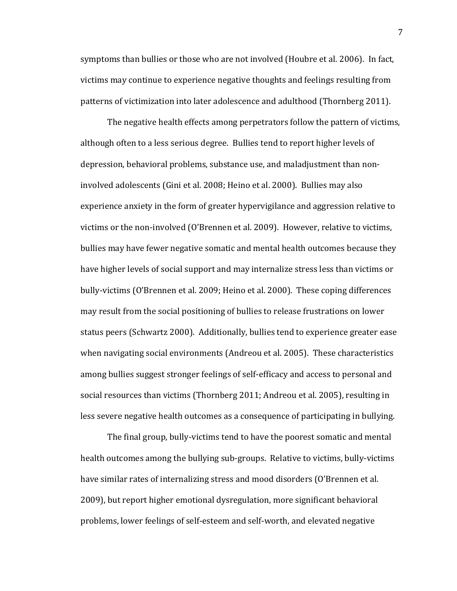symptoms than bullies or those who are not involved (Houbre et al. 2006). In fact, victims may continue to experience negative thoughts and feelings resulting from patterns of victimization into later adolescence and adulthood (Thornberg 2011).

The negative health effects among perpetrators follow the pattern of victims, although often to a less serious degree. Bullies tend to report higher levels of depression, behavioral problems, substance use, and maladjustment than noninvolved adolescents (Gini et al. 2008; Heino et al. 2000). Bullies may also experience anxiety in the form of greater hypervigilance and aggression relative to victims or the non-involved (O'Brennen et al. 2009). However, relative to victims, bullies may have fewer negative somatic and mental health outcomes because they have higher levels of social support and may internalize stress less than victims or bully-victims (O'Brennen et al. 2009; Heino et al. 2000). These coping differences may result from the social positioning of bullies to release frustrations on lower status peers (Schwartz 2000). Additionally, bullies tend to experience greater ease when navigating social environments (Andreou et al. 2005). These characteristics among bullies suggest stronger feelings of self-efficacy and access to personal and social resources than victims (Thornberg 2011; Andreou et al. 2005), resulting in less severe negative health outcomes as a consequence of participating in bullying.

The final group, bully-victims tend to have the poorest somatic and mental health outcomes among the bullying sub-groups. Relative to victims, bully-victims have similar rates of internalizing stress and mood disorders (O'Brennen et al. 2009), but report higher emotional dysregulation, more significant behavioral problems, lower feelings of self-esteem and self-worth, and elevated negative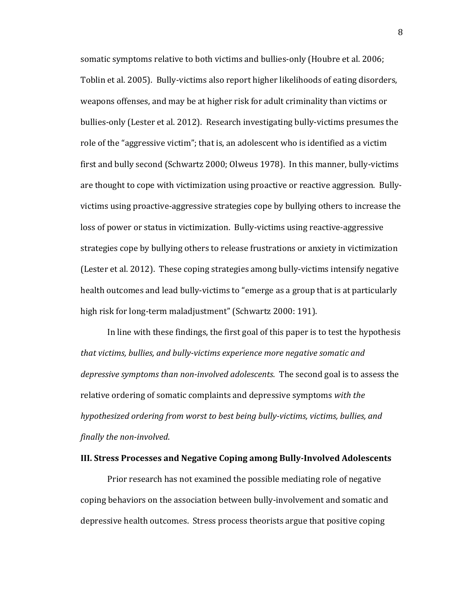somatic symptoms relative to both victims and bullies-only (Houbre et al. 2006; Toblin et al. 2005). Bully-victims also report higher likelihoods of eating disorders, weapons offenses, and may be at higher risk for adult criminality than victims or bullies-only (Lester et al. 2012). Research investigating bully-victims presumes the role of the "aggressive victim"; that is, an adolescent who is identified as a victim first and bully second (Schwartz 2000; Olweus 1978). In this manner, bully-victims are thought to cope with victimization using proactive or reactive aggression. Bullyvictims using proactive-aggressive strategies cope by bullying others to increase the loss of power or status in victimization. Bully-victims using reactive-aggressive strategies cope by bullying others to release frustrations or anxiety in victimization (Lester et al. 2012). These coping strategies among bully-victims intensify negative health outcomes and lead bully-victims to "emerge as a group that is at particularly high risk for long-term maladjustment" (Schwartz 2000: 191).

In line with these findings, the first goal of this paper is to test the hypothesis *that victims, bullies, and bully-victims experience more negative somatic and* depressive symptoms than non-involved adolescents. The second goal is to assess the relative ordering of somatic complaints and depressive symptoms with the *hypothesized ordering from worst to best being bully-victims, victims, bullies, and finally the non-involved.* 

## **III. Stress Processes and Negative Coping among Bully-Involved Adolescents**

Prior research has not examined the possible mediating role of negative coping behaviors on the association between bully-involvement and somatic and depressive health outcomes. Stress process theorists argue that positive coping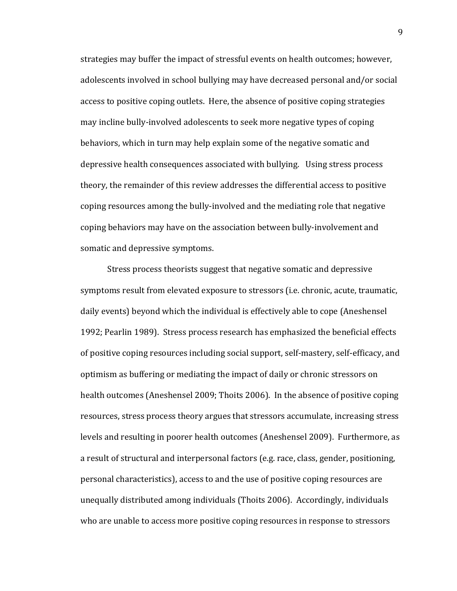strategies may buffer the impact of stressful events on health outcomes; however, adolescents involved in school bullying may have decreased personal and/or social access to positive coping outlets. Here, the absence of positive coping strategies may incline bully-involved adolescents to seek more negative types of coping behaviors, which in turn may help explain some of the negative somatic and depressive health consequences associated with bullying. Using stress process theory, the remainder of this review addresses the differential access to positive coping resources among the bully-involved and the mediating role that negative coping behaviors may have on the association between bully-involvement and somatic and depressive symptoms.

Stress process theorists suggest that negative somatic and depressive symptoms result from elevated exposure to stressors (i.e. chronic, acute, traumatic, daily events) beyond which the individual is effectively able to cope (Aneshensel 1992; Pearlin 1989). Stress process research has emphasized the beneficial effects of positive coping resources including social support, self-mastery, self-efficacy, and optimism as buffering or mediating the impact of daily or chronic stressors on health outcomes (Aneshensel 2009; Thoits 2006). In the absence of positive coping resources, stress process theory argues that stressors accumulate, increasing stress levels and resulting in poorer health outcomes (Aneshensel 2009). Furthermore, as a result of structural and interpersonal factors (e.g. race, class, gender, positioning, personal characteristics), access to and the use of positive coping resources are unequally distributed among individuals (Thoits 2006). Accordingly, individuals who are unable to access more positive coping resources in response to stressors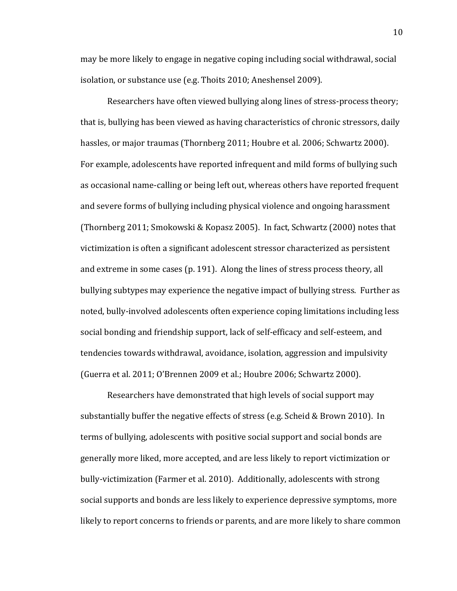may be more likely to engage in negative coping including social withdrawal, social isolation, or substance use (e.g. Thoits 2010; Aneshensel 2009).

Researchers have often viewed bullying along lines of stress-process theory; that is, bullying has been viewed as having characteristics of chronic stressors, daily hassles, or major traumas (Thornberg 2011; Houbre et al. 2006; Schwartz 2000). For example, adolescents have reported infrequent and mild forms of bullying such as occasional name-calling or being left out, whereas others have reported frequent and severe forms of bullying including physical violence and ongoing harassment (Thornberg 2011; Smokowski & Kopasz 2005). In fact, Schwartz (2000) notes that victimization is often a significant adolescent stressor characterized as persistent and extreme in some cases (p. 191). Along the lines of stress process theory, all bullying subtypes may experience the negative impact of bullying stress. Further as noted, bully-involved adolescents often experience coping limitations including less social bonding and friendship support, lack of self-efficacy and self-esteem, and tendencies towards withdrawal, avoidance, isolation, aggression and impulsivity (Guerra et al. 2011; O'Brennen 2009 et al.; Houbre 2006; Schwartz 2000).

Researchers have demonstrated that high levels of social support may substantially buffer the negative effects of stress (e.g. Scheid & Brown 2010). In terms of bullying, adolescents with positive social support and social bonds are generally more liked, more accepted, and are less likely to report victimization or bully-victimization (Farmer et al. 2010). Additionally, adolescents with strong social supports and bonds are less likely to experience depressive symptoms, more likely to report concerns to friends or parents, and are more likely to share common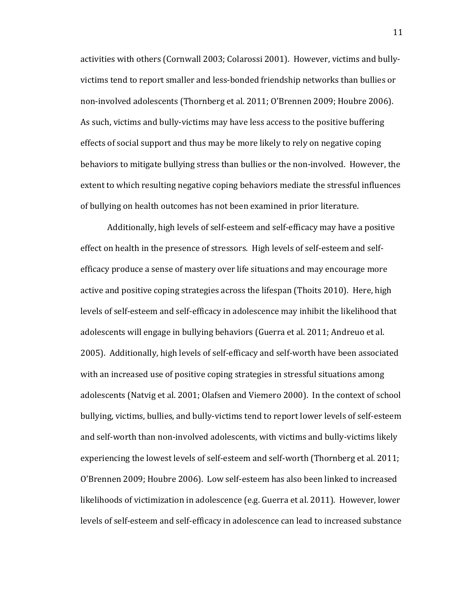activities with others (Cornwall 2003; Colarossi 2001). However, victims and bullyvictims tend to report smaller and less-bonded friendship networks than bullies or non-involved adolescents (Thornberg et al. 2011; O'Brennen 2009; Houbre 2006). As such, victims and bully-victims may have less access to the positive buffering effects of social support and thus may be more likely to rely on negative coping behaviors to mitigate bullying stress than bullies or the non-involved. However, the extent to which resulting negative coping behaviors mediate the stressful influences of bullying on health outcomes has not been examined in prior literature.

Additionally, high levels of self-esteem and self-efficacy may have a positive effect on health in the presence of stressors. High levels of self-esteem and selfefficacy produce a sense of mastery over life situations and may encourage more active and positive coping strategies across the lifespan (Thoits 2010). Here, high levels of self-esteem and self-efficacy in adolescence may inhibit the likelihood that adolescents will engage in bullying behaviors (Guerra et al. 2011; Andreuo et al. 2005). Additionally, high levels of self-efficacy and self-worth have been associated with an increased use of positive coping strategies in stressful situations among adolescents (Natvig et al. 2001; Olafsen and Viemero 2000). In the context of school bullying, victims, bullies, and bully-victims tend to report lower levels of self-esteem and self-worth than non-involved adolescents, with victims and bully-victims likely experiencing the lowest levels of self-esteem and self-worth (Thornberg et al. 2011; O'Brennen 2009; Houbre 2006). Low self-esteem has also been linked to increased likelihoods of victimization in adolescence (e.g. Guerra et al. 2011). However, lower levels of self-esteem and self-efficacy in adolescence can lead to increased substance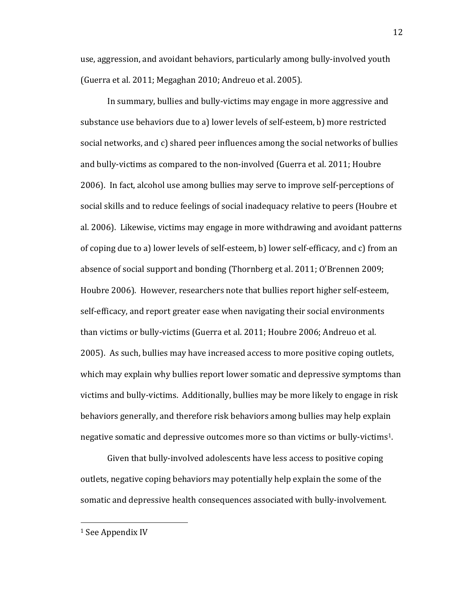use, aggression, and avoidant behaviors, particularly among bully-involved youth (Guerra et al. 2011; Megaghan 2010; Andreuo et al. 2005).

In summary, bullies and bully-victims may engage in more aggressive and substance use behaviors due to a) lower levels of self-esteem, b) more restricted social networks, and c) shared peer influences among the social networks of bullies and bully-victims as compared to the non-involved (Guerra et al. 2011; Houbre 2006). In fact, alcohol use among bullies may serve to improve self-perceptions of social skills and to reduce feelings of social inadequacy relative to peers (Houbre et al. 2006). Likewise, victims may engage in more withdrawing and avoidant patterns of coping due to a) lower levels of self-esteem, b) lower self-efficacy, and c) from an absence of social support and bonding (Thornberg et al. 2011; O'Brennen 2009; Houbre 2006). However, researchers note that bullies report higher self-esteem, self-efficacy, and report greater ease when navigating their social environments than victims or bully-victims (Guerra et al. 2011; Houbre 2006; Andreuo et al. 2005). As such, bullies may have increased access to more positive coping outlets, which may explain why bullies report lower somatic and depressive symptoms than victims and bully-victims. Additionally, bullies may be more likely to engage in risk behaviors generally, and therefore risk behaviors among bullies may help explain negative somatic and depressive outcomes more so than victims or bully-victims<sup>1</sup>.

Given that bully-involved adolescents have less access to positive coping outlets, negative coping behaviors may potentially help explain the some of the somatic and depressive health consequences associated with bully-involvement.

"""""""""""""""""""""""""""""""""""""""""""""""""""""""

 $1$  See Appendix IV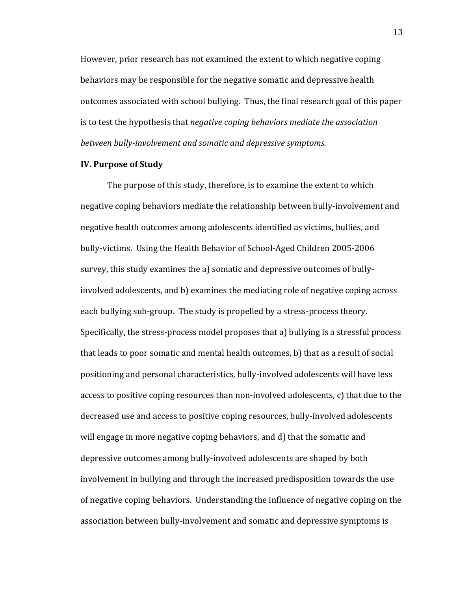However, prior research has not examined the extent to which negative coping behaviors may be responsible for the negative somatic and depressive health outcomes associated with school bullying. Thus, the final research goal of this paper is to test the hypothesis that *negative coping behaviors mediate the association* between bully-involvement and somatic and depressive symptoms.

## **IV. Purpose of Study**

The purpose of this study, therefore, is to examine the extent to which negative coping behaviors mediate the relationship between bully-involvement and negative health outcomes among adolescents identified as victims, bullies, and bully-victims. Using the Health Behavior of School-Aged Children 2005-2006 survey, this study examines the a) somatic and depressive outcomes of bullyinvolved adolescents, and b) examines the mediating role of negative coping across each bullying sub-group. The study is propelled by a stress-process theory. Specifically, the stress-process model proposes that a) bullying is a stressful process that leads to poor somatic and mental health outcomes, b) that as a result of social positioning and personal characteristics, bully-involved adolescents will have less access to positive coping resources than non-involved adolescents, c) that due to the decreased use and access to positive coping resources, bully-involved adolescents will engage in more negative coping behaviors, and d) that the somatic and depressive outcomes among bully-involved adolescents are shaped by both involvement in bullying and through the increased predisposition towards the use of negative coping behaviors. Understanding the influence of negative coping on the association between bully-involvement and somatic and depressive symptoms is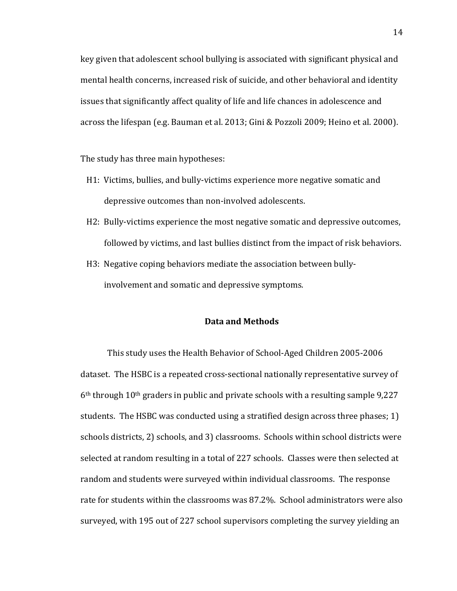key given that adolescent school bullying is associated with significant physical and mental health concerns, increased risk of suicide, and other behavioral and identity issues that significantly affect quality of life and life chances in adolescence and across the lifespan (e.g. Bauman et al. 2013; Gini & Pozzoli 2009; Heino et al. 2000).

The study has three main hypotheses:

- H1: Victims, bullies, and bully-victims experience more negative somatic and depressive outcomes than non-involved adolescents.
- $H2:$  Bully-victims experience the most negative somatic and depressive outcomes, followed by victims, and last bullies distinct from the impact of risk behaviors.
- H3: Negative coping behaviors mediate the association between bullyinvolvement and somatic and depressive symptoms.

## **Data!and!Methods**

This study uses the Health Behavior of School-Aged Children 2005-2006 dataset. The HSBC is a repeated cross-sectional nationally representative survey of  $6<sup>th</sup>$  through 10<sup>th</sup> graders in public and private schools with a resulting sample 9,227 students. The HSBC was conducted using a stratified design across three phases; 1) schools districts, 2) schools, and 3) classrooms. Schools within school districts were selected at random resulting in a total of 227 schools. Classes were then selected at random and students were surveyed within individual classrooms. The response rate for students within the classrooms was 87.2%. School administrators were also surveyed, with 195 out of 227 school supervisors completing the survey yielding an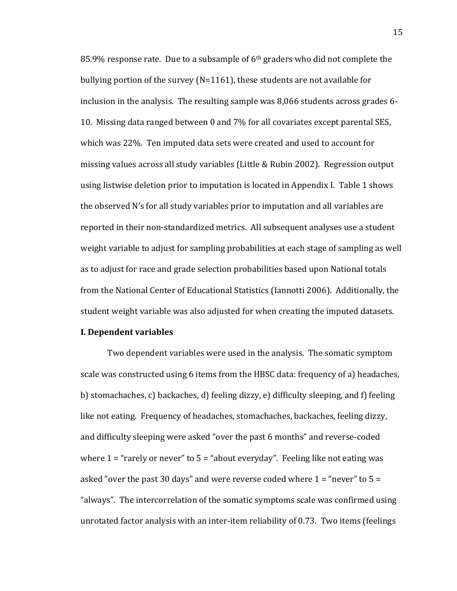85.9% response rate. Due to a subsample of  $6<sup>th</sup>$  graders who did not complete the bullying portion of the survey (N=1161), these students are not available for inclusion in the analysis. The resulting sample was 8,066 students across grades 6-10. Missing data ranged between 0 and 7% for all covariates except parental SES, which was 22%. Ten imputed data sets were created and used to account for missing values across all study variables (Little & Rubin 2002). Regression output using listwise deletion prior to imputation is located in Appendix I. Table 1 shows the observed N's for all study variables prior to imputation and all variables are reported in their non-standardized metrics. All subsequent analyses use a student weight variable to adjust for sampling probabilities at each stage of sampling as well as to adjust for race and grade selection probabilities based upon National totals from the National Center of Educational Statistics (Iannotti 2006). Additionally, the student weight variable was also adjusted for when creating the imputed datasets.

## **I. Dependent variables**

Two dependent variables were used in the analysis. The somatic symptom scale was constructed using 6 items from the HBSC data: frequency of a) headaches, b) stomachaches, c) backaches, d) feeling dizzy, e) difficulty sleeping, and f) feeling like not eating. Frequency of headaches, stomachaches, backaches, feeling dizzy, and difficulty sleeping were asked "over the past 6 months" and reverse-coded where  $1$  = "rarely or never" to  $5$  = "about everyday". Feeling like not eating was asked "over the past 30 days" and were reverse coded where  $1 =$  "never" to  $5 =$ "always". The intercorrelation of the somatic symptoms scale was confirmed using" unrotated factor analysis with an inter-item reliability of 0.73. Two items (feelings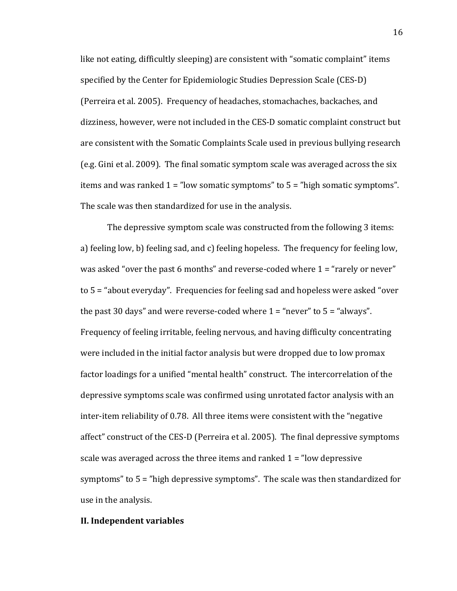like not eating, difficultly sleeping) are consistent with "somatic complaint" items specified by the Center for Epidemiologic Studies Depression Scale (CES-D) (Perreira et al. 2005). Frequency of headaches, stomachaches, backaches, and dizziness, however, were not included in the CES-D somatic complaint construct but are consistent with the Somatic Complaints Scale used in previous bullying research (e.g. Gini et al. 2009). The final somatic symptom scale was averaged across the six items and was ranked  $1 =$  "low somatic symptoms" to  $5 =$  "high somatic symptoms". The scale was then standardized for use in the analysis.

The depressive symptom scale was constructed from the following 3 items: a) feeling low, b) feeling sad, and c) feeling hopeless. The frequency for feeling low, was asked "over the past 6 months" and reverse-coded where  $1$  = "rarely or never" to  $5$  = "about everyday". Frequencies for feeling sad and hopeless were asked "over" the past 30 days" and were reverse-coded where  $1 =$  "never" to  $5 =$  "always". Frequency of feeling irritable, feeling nervous, and having difficulty concentrating were included in the initial factor analysis but were dropped due to low promax factor loadings for a unified "mental health" construct. The intercorrelation of the depressive symptoms scale was confirmed using unrotated factor analysis with an inter-item reliability of 0.78. All three items were consistent with the "negative" affect" construct of the CES-D (Perreira et al. 2005). The final depressive symptoms scale was averaged across the three items and ranked  $1$  = "low depressive" symptoms" to  $5$  = "high depressive symptoms". The scale was then standardized for use in the analysis.

#### **II. Independent variables**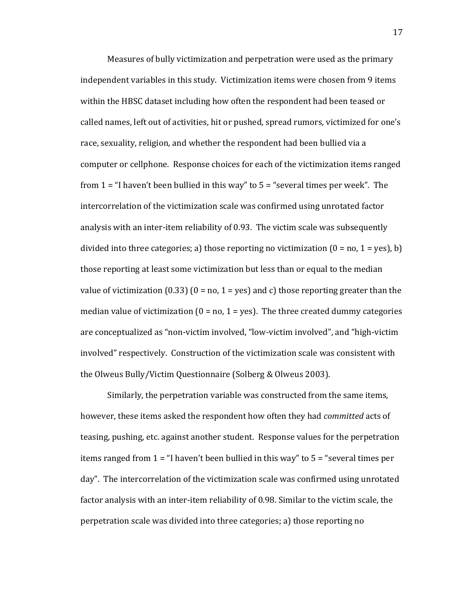Measures of bully victimization and perpetration were used as the primary independent variables in this study. Victimization items were chosen from 9 items within the HBSC dataset including how often the respondent had been teased or called names, left out of activities, hit or pushed, spread rumors, victimized for one's race, sexuality, religion, and whether the respondent had been bullied via a computer or cellphone. Response choices for each of the victimization items ranged from  $1$  = "I haven't been bullied in this way" to  $5$  = "several times per week". The intercorrelation of the victimization scale was confirmed using unrotated factor analysis with an inter-item reliability of 0.93. The victim scale was subsequently divided into three categories; a) those reporting no victimization  $(0 = no, 1 = yes), b$ those reporting at least some victimization but less than or equal to the median value of victimization (0.33) (0 = no, 1 = yes) and c) those reporting greater than the median value of victimization ( $0 = no$ ,  $1 = yes$ ). The three created dummy categories are conceptualized as "non-victim involved, "low-victim involved", and "high-victim" involved" respectively. Construction of the victimization scale was consistent with the Olweus Bully/Victim Questionnaire (Solberg & Olweus 2003).

Similarly, the perpetration variable was constructed from the same items, however, these items asked the respondent how often they had *committed* acts of teasing, pushing, etc. against another student. Response values for the perpetration items ranged from  $1$  = "I haven't been bullied in this way" to  $5$  = "several times per day". The intercorrelation of the victimization scale was confirmed using unrotated factor analysis with an inter-item reliability of 0.98. Similar to the victim scale, the perpetration scale was divided into three categories; a) those reporting no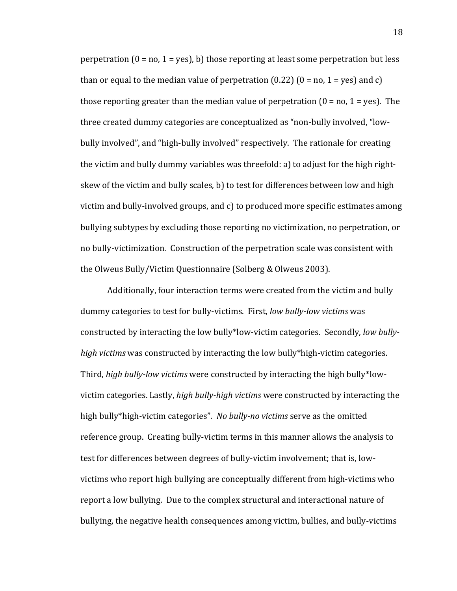perpetration  $(0 = no, 1 = yes)$ , b) those reporting at least some perpetration but less than or equal to the median value of perpetration (0.22) (0 = no, 1 = yes) and c) those reporting greater than the median value of perpetration ( $0 =$  no,  $1 =$  yes). The three created dummy categories are conceptualized as "non-bully involved, "lowbully involved", and "high-bully involved" respectively. The rationale for creating the victim and bully dummy variables was threefold: a) to adjust for the high rightskew of the victim and bully scales, b) to test for differences between low and high victim and bully-involved groups, and c) to produced more specific estimates among bullying subtypes by excluding those reporting no victimization, no perpetration, or no bully-victimization. Construction of the perpetration scale was consistent with the Olweus Bully/Victim Questionnaire (Solberg & Olweus 2003).

Additionally, four interaction terms were created from the victim and bully dummy categories to test for bully-victims. First, *low bully-low victims* was constructed by interacting the low bully\*low-victim categories. Secondly, low bully*high victims* was constructed by interacting the low bully\*high-victim categories. Third, *high bully-low victims* were constructed by interacting the high bully\*lowvictim categories. Lastly, *high bully-high victims* were constructed by interacting the high bully\*high-victim categories". No bully-no victims serve as the omitted reference group. Creating bully-victim terms in this manner allows the analysis to test for differences between degrees of bully-victim involvement; that is, lowvictims who report high bullying are conceptually different from high-victims who report a low bullying. Due to the complex structural and interactional nature of bullying, the negative health consequences among victim, bullies, and bully-victims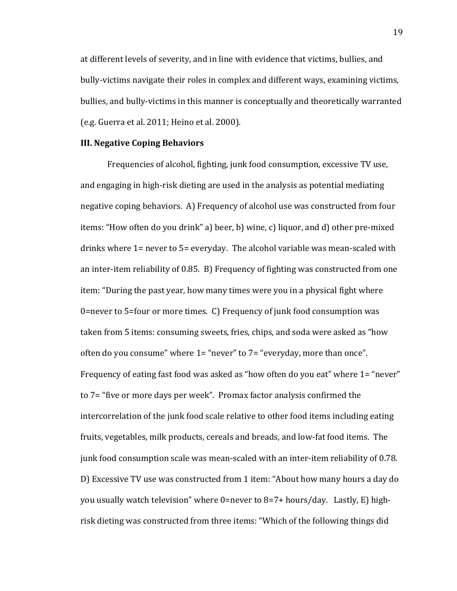at different levels of severity, and in line with evidence that victims, bullies, and bully-victims navigate their roles in complex and different ways, examining victims, bullies, and bully-victims in this manner is conceptually and theoretically warranted (e.g. Guerra et al.  $2011$ ; Heino et al.  $2000$ ).

## **III. Negative Coping Behaviors**

Frequencies of alcohol, fighting, junk food consumption, excessive TV use, and engaging in high-risk dieting are used in the analysis as potential mediating negative coping behaviors. A) Frequency of alcohol use was constructed from four items: "How often do you drink" a) beer, b) wine, c) liquor, and d) other pre-mixed drinks where  $1$ = never to  $5$ = everyday. The alcohol variable was mean-scaled with an inter-item reliability of 0.85. B) Frequency of fighting was constructed from one item: "During the past year, how many times were you in a physical fight where 0=never to 5=four or more times. C) Frequency of junk food consumption was taken from 5 items: consuming sweets, fries, chips, and soda were asked as "how often do you consume" where  $1=$  "never" to  $7=$  "everyday, more than once". Frequency of eating fast food was asked as "how often do you eat" where 1= "never" to 7= "five or more days per week". Promax factor analysis confirmed the intercorrelation of the junk food scale relative to other food items including eating fruits, vegetables, milk products, cereals and breads, and low-fat food items. The junk food consumption scale was mean-scaled with an inter-item reliability of 0.78. D) Excessive TV use was constructed from 1 item: "About how many hours a day do you usually watch television" where 0=never to 8=7+ hours/day. Lastly, E) highrisk dieting was constructed from three items: "Which of the following things did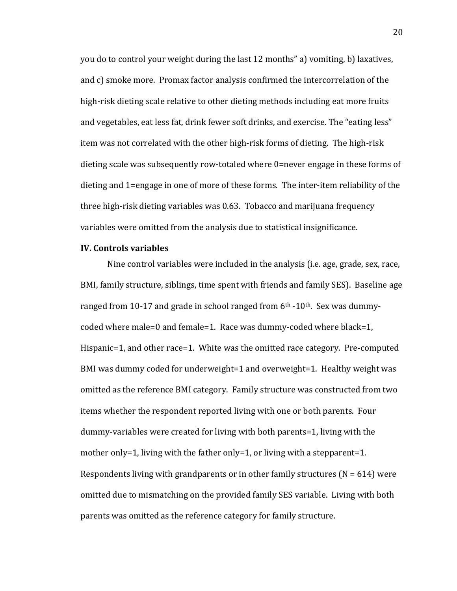you do to control your weight during the last 12 months" a) vomiting, b) laxatives, and c) smoke more. Promax factor analysis confirmed the intercorrelation of the high-risk dieting scale relative to other dieting methods including eat more fruits and vegetables, eat less fat, drink fewer soft drinks, and exercise. The "eating less" item was not correlated with the other high-risk forms of dieting. The high-risk dieting scale was subsequently row-totaled where 0=never engage in these forms of dieting and 1=engage in one of more of these forms. The inter-item reliability of the three high-risk dieting variables was 0.63. Tobacco and marijuana frequency variables were omitted from the analysis due to statistical insignificance.

#### **IV.!Controls!variables**

Nine control variables were included in the analysis (i.e. age, grade, sex, race, BMI, family structure, siblings, time spent with friends and family SES). Baseline age ranged from 10-17 and grade in school ranged from  $6<sup>th</sup>$  -10<sup>th</sup>. Sex was dummycoded where male=0 and female=1. Race was dummy-coded where black=1, Hispanic=1, and other race=1. White was the omitted race category. Pre-computed BMI was dummy coded for underweight=1 and overweight=1. Healthy weight was omitted as the reference BMI category. Family structure was constructed from two items whether the respondent reported living with one or both parents. Four dummy-variables were created for living with both parents=1, living with the mother only=1, living with the father only=1, or living with a stepparent=1. Respondents living with grandparents or in other family structures ( $N = 614$ ) were omitted due to mismatching on the provided family SES variable. Living with both parents was omitted as the reference category for family structure.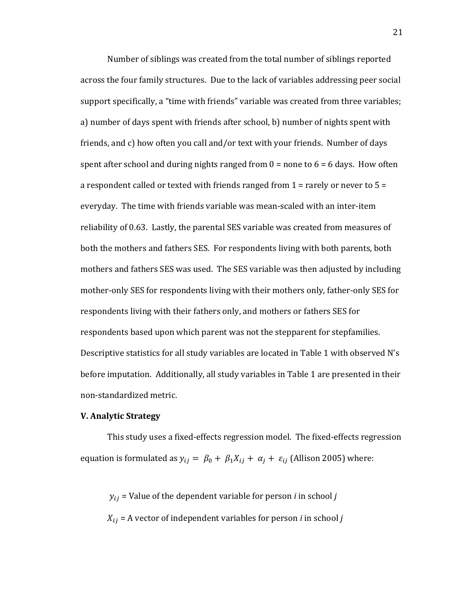Number of siblings was created from the total number of siblings reported across the four family structures. Due to the lack of variables addressing peer social support specifically, a "time with friends" variable was created from three variables; a) number of days spent with friends after school, b) number of nights spent with friends, and c) how often you call and/or text with your friends. Number of days spent after school and during nights ranged from  $0 =$  none to  $6 = 6$  days. How often a respondent called or texted with friends ranged from  $1$  = rarely or never to  $5$  = everyday. The time with friends variable was mean-scaled with an inter-item reliability of 0.63. Lastly, the parental SES variable was created from measures of both the mothers and fathers SES. For respondents living with both parents, both mothers and fathers SES was used. The SES variable was then adjusted by including mother-only SES for respondents living with their mothers only, father-only SES for respondents living with their fathers only, and mothers or fathers SES for respondents based upon which parent was not the stepparent for stepfamilies. Descriptive statistics for all study variables are located in Table 1 with observed N's before imputation. Additionally, all study variables in Table 1 are presented in their non-standardized metric.

#### **V.!Analytic!Strategy**

This study uses a fixed-effects regression model. The fixed-effects regression equation is formulated as  $y_{ij} = \beta_0 + \beta_1 X_{ij} + \alpha_j + \varepsilon_{ij}$  (Allison 2005) where:

 $y_{ij}$  = Value of the dependent variable for person *i* in school *j* 

 $X_{ij}$  = A vector of independent variables for person *i* in school *j*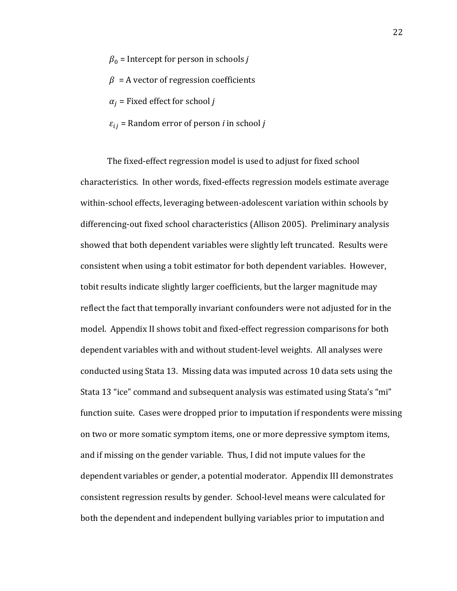- $\beta_0$  = Intercept for person in schools *j*
- $\beta$  = A vector of regression coefficients
- $\alpha_i$  = Fixed effect for school *j*
- $\varepsilon_{ij}$  = Random error of person *i* in school *j*

The fixed-effect regression model is used to adjust for fixed school characteristics. In other words, fixed-effects regression models estimate average within-school effects, leveraging between-adolescent variation within schools by differencing-out fixed school characteristics (Allison 2005). Preliminary analysis showed that both dependent variables were slightly left truncated. Results were consistent when using a tobit estimator for both dependent variables. However, tobit results indicate slightly larger coefficients, but the larger magnitude may reflect the fact that temporally invariant confounders were not adjusted for in the model. Appendix II shows tobit and fixed-effect regression comparisons for both dependent variables with and without student-level weights. All analyses were conducted using Stata 13. Missing data was imputed across 10 data sets using the Stata 13 "ice" command and subsequent analysis was estimated using Stata's "mi" function suite. Cases were dropped prior to imputation if respondents were missing on two or more somatic symptom items, one or more depressive symptom items, and if missing on the gender variable. Thus, I did not impute values for the dependent variables or gender, a potential moderator. Appendix III demonstrates consistent regression results by gender. School-level means were calculated for both the dependent and independent bullying variables prior to imputation and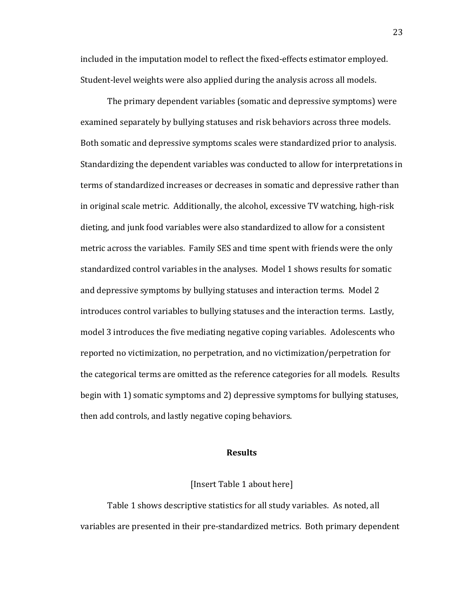included in the imputation model to reflect the fixed-effects estimator employed. Student-level weights were also applied during the analysis across all models.

The primary dependent variables (somatic and depressive symptoms) were examined separately by bullying statuses and risk behaviors across three models. Both somatic and depressive symptoms scales were standardized prior to analysis. Standardizing the dependent variables was conducted to allow for interpretations in terms of standardized increases or decreases in somatic and depressive rather than in original scale metric. Additionally, the alcohol, excessive TV watching, high-risk dieting, and junk food variables were also standardized to allow for a consistent metric across the variables. Family SES and time spent with friends were the only standardized control variables in the analyses. Model 1 shows results for somatic and depressive symptoms by bullying statuses and interaction terms. Model 2" introduces control variables to bullying statuses and the interaction terms. Lastly, model 3 introduces the five mediating negative coping variables. Adolescents who reported no victimization, no perpetration, and no victimization/perpetration for the categorical terms are omitted as the reference categories for all models. Results" begin with 1) somatic symptoms and 2) depressive symptoms for bullying statuses, then add controls, and lastly negative coping behaviors.

## **Results**

## [Insert Table 1 about here]

Table 1 shows descriptive statistics for all study variables. As noted, all variables are presented in their pre-standardized metrics. Both primary dependent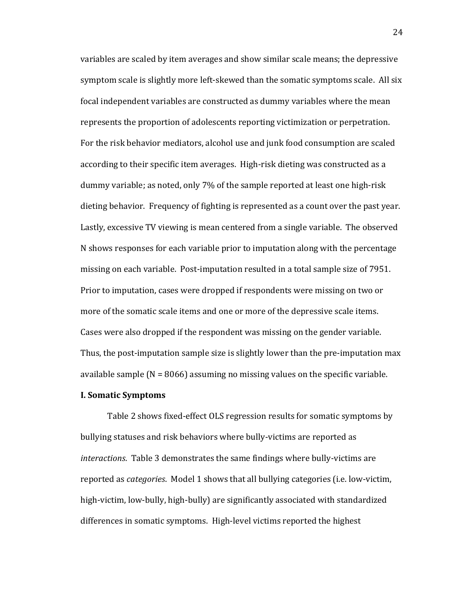variables are scaled by item averages and show similar scale means; the depressive symptom scale is slightly more left-skewed than the somatic symptoms scale. All six focal independent variables are constructed as dummy variables where the mean represents the proportion of adolescents reporting victimization or perpetration. For the risk behavior mediators, alcohol use and junk food consumption are scaled according to their specific item averages. High-risk dieting was constructed as a dummy variable; as noted, only 7% of the sample reported at least one high-risk dieting behavior. Frequency of fighting is represented as a count over the past year. Lastly, excessive TV viewing is mean centered from a single variable. The observed N shows responses for each variable prior to imputation along with the percentage missing on each variable. Post-imputation resulted in a total sample size of 7951. Prior to imputation, cases were dropped if respondents were missing on two or more of the somatic scale items and one or more of the depressive scale items. Cases were also dropped if the respondent was missing on the gender variable. Thus, the post-imputation sample size is slightly lower than the pre-imputation max available sample ( $N = 8066$ ) assuming no missing values on the specific variable.

## **I. Somatic Symptoms**

Table 2 shows fixed-effect OLS regression results for somatic symptoms by bullying statuses and risk behaviors where bully-victims are reported as *interactions*. Table 3 demonstrates the same findings where bully-victims are reported as *categories*. Model 1 shows that all bullying categories (i.e. low-victim, high-victim, low-bully, high-bully) are significantly associated with standardized differences in somatic symptoms. High-level victims reported the highest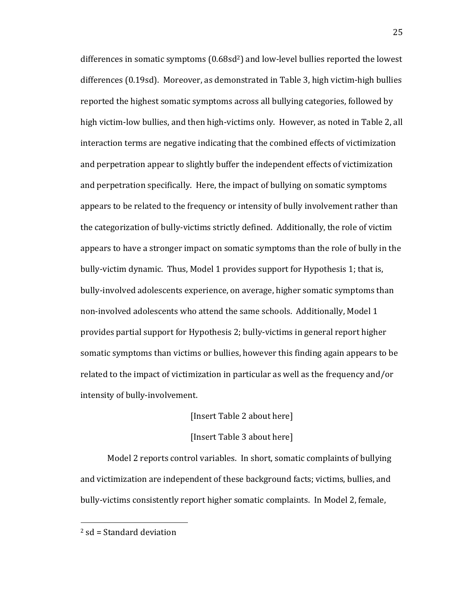differences in somatic symptoms  $(0.68\text{sd}^2)$  and low-level bullies reported the lowest differences (0.19sd). Moreover, as demonstrated in Table 3, high victim-high bullies reported the highest somatic symptoms across all bullying categories, followed by high victim-low bullies, and then high-victims only. However, as noted in Table 2, all interaction terms are negative indicating that the combined effects of victimization and perpetration appear to slightly buffer the independent effects of victimization and perpetration specifically. Here, the impact of bullying on somatic symptoms appears to be related to the frequency or intensity of bully involvement rather than the categorization of bully-victims strictly defined. Additionally, the role of victim appears to have a stronger impact on somatic symptoms than the role of bully in the bully-victim dynamic. Thus, Model 1 provides support for Hypothesis 1; that is, bully-involved adolescents experience, on average, higher somatic symptoms than non-involved adolescents who attend the same schools. Additionally, Model 1 provides partial support for Hypothesis 2; bully-victims in general report higher somatic symptoms than victims or bullies, however this finding again appears to be related to the impact of victimization in particular as well as the frequency and/or intensity of bully-involvement.

# [Insert Table 2 about here]

#### [Insert Table 3 about here]

Model 2 reports control variables. In short, somatic complaints of bullying and victimization are independent of these background facts; victims, bullies, and bully-victims consistently report higher somatic complaints. In Model 2, female,

"""""""""""""""""""""""""""""""""""""""""""""""""""""""

 $2$  sd = Standard deviation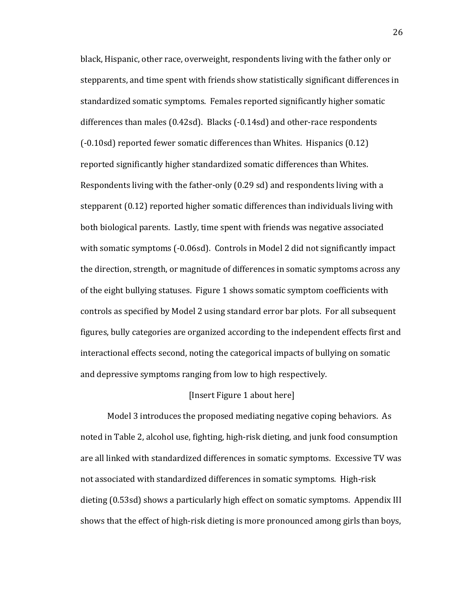black, Hispanic, other race, overweight, respondents living with the father only or stepparents, and time spent with friends show statistically significant differences in standardized somatic symptoms. Females reported significantly higher somatic differences than males (0.42sd). Blacks  $(-0.14s<sub>d</sub>)$  and other-race respondents  $(-0.10s<sub>d</sub>)$  reported fewer somatic differences than Whites. Hispanics  $(0.12)$ reported significantly higher standardized somatic differences than Whites. Respondents living with the father-only (0.29 sd) and respondents living with a stepparent (0.12) reported higher somatic differences than individuals living with both biological parents. Lastly, time spent with friends was negative associated with somatic symptoms (-0.06sd). Controls in Model 2 did not significantly impact the direction, strength, or magnitude of differences in somatic symptoms across any of the eight bullying statuses. Figure 1 shows somatic symptom coefficients with controls as specified by Model 2 using standard error bar plots. For all subsequent figures, bully categories are organized according to the independent effects first and interactional effects second, noting the categorical impacts of bullying on somatic and depressive symptoms ranging from low to high respectively.

## [Insert Figure 1 about here]

Model 3 introduces the proposed mediating negative coping behaviors. As noted in Table 2, alcohol use, fighting, high-risk dieting, and junk food consumption are all linked with standardized differences in somatic symptoms. Excessive TV was not associated with standardized differences in somatic symptoms. High-risk dieting (0.53sd) shows a particularly high effect on somatic symptoms. Appendix III shows that the effect of high-risk dieting is more pronounced among girls than boys,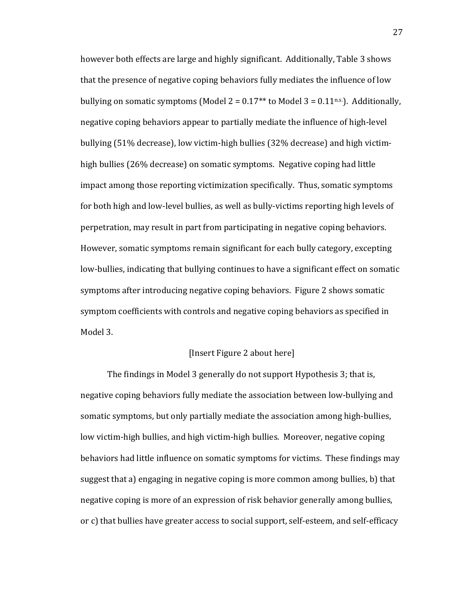however both effects are large and highly significant. Additionally, Table 3 shows that the presence of negative coping behaviors fully mediates the influence of low bullying on somatic symptoms (Model 2 =  $0.17**$  to Model 3 =  $0.11$ <sup>n.s.</sup>). Additionally, negative coping behaviors appear to partially mediate the influence of high-level bullying (51% decrease), low victim-high bullies (32% decrease) and high victimhigh bullies (26% decrease) on somatic symptoms. Negative coping had little impact among those reporting victimization specifically. Thus, somatic symptoms for both high and low-level bullies, as well as bully-victims reporting high levels of perpetration, may result in part from participating in negative coping behaviors. However, somatic symptoms remain significant for each bully category, excepting low-bullies, indicating that bullying continues to have a significant effect on somatic symptoms after introducing negative coping behaviors. Figure 2 shows somatic symptom coefficients with controls and negative coping behaviors as specified in Model 3.

# [Insert Figure 2 about here]

The findings in Model 3 generally do not support Hypothesis 3; that is, negative coping behaviors fully mediate the association between low-bullying and somatic symptoms, but only partially mediate the association among high-bullies, low victim-high bullies, and high victim-high bullies. Moreover, negative coping behaviors had little influence on somatic symptoms for victims. These findings may suggest that a) engaging in negative coping is more common among bullies, b) that negative coping is more of an expression of risk behavior generally among bullies, or c) that bullies have greater access to social support, self-esteem, and self-efficacy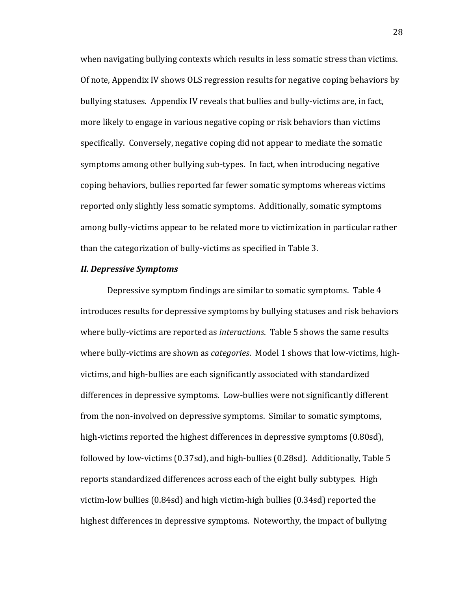when navigating bullying contexts which results in less somatic stress than victims. Of note, Appendix IV shows OLS regression results for negative coping behaviors by bullying statuses. Appendix IV reveals that bullies and bully-victims are, in fact, more likely to engage in various negative coping or risk behaviors than victims specifically. Conversely, negative coping did not appear to mediate the somatic symptoms among other bullying sub-types. In fact, when introducing negative coping behaviors, bullies reported far fewer somatic symptoms whereas victims reported only slightly less somatic symptoms. Additionally, somatic symptoms among bully-victims appear to be related more to victimization in particular rather than the categorization of bully-victims as specified in Table 3.

## **II. Depressive Symptoms**

Depressive symptom findings are similar to somatic symptoms. Table 4 introduces results for depressive symptoms by bullying statuses and risk behaviors where bully-victims are reported as *interactions*. Table 5 shows the same results where bully-victims are shown as *categories*. Model 1 shows that low-victims, highvictims, and high-bullies are each significantly associated with standardized differences in depressive symptoms. Low-bullies were not significantly different from the non-involved on depressive symptoms. Similar to somatic symptoms, high-victims reported the highest differences in depressive symptoms (0.80sd), followed by low-victims (0.37sd), and high-bullies (0.28sd). Additionally, Table  $5$ reports standardized differences across each of the eight bully subtypes. High victim-low bullies  $(0.84$ sd) and high victim-high bullies  $(0.34$ sd) reported the highest differences in depressive symptoms. Noteworthy, the impact of bullying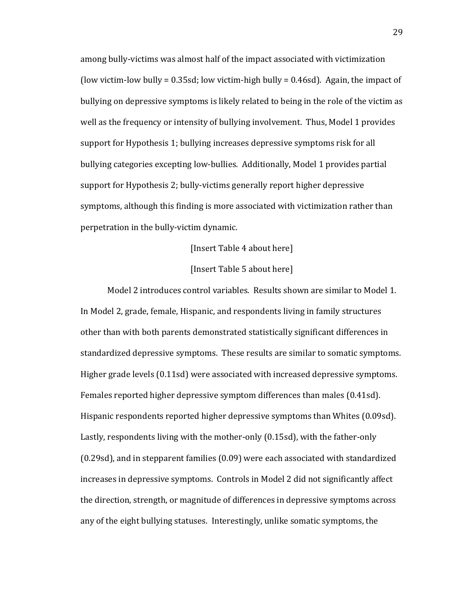among bully-victims was almost half of the impact associated with victimization (low victim-low bully =  $0.35$ sd; low victim-high bully =  $0.46$ sd). Again, the impact of bullying on depressive symptoms is likely related to being in the role of the victim as well as the frequency or intensity of bullying involvement. Thus, Model 1 provides support for Hypothesis 1; bullying increases depressive symptoms risk for all bullying categories excepting low-bullies. Additionally, Model 1 provides partial support for Hypothesis 2; bully-victims generally report higher depressive symptoms, although this finding is more associated with victimization rather than perpetration in the bully-victim dynamic.

# [Insert Table 4 about here]

# [Insert Table 5 about here]

Model 2 introduces control variables. Results shown are similar to Model 1. In Model 2, grade, female, Hispanic, and respondents living in family structures other than with both parents demonstrated statistically significant differences in standardized depressive symptoms. These results are similar to somatic symptoms. Higher grade levels (0.11sd) were associated with increased depressive symptoms. Females reported higher depressive symptom differences than males (0.41sd). Hispanic respondents reported higher depressive symptoms than Whites (0.09sd). Lastly, respondents living with the mother-only (0.15sd), with the father-only  $(0.29$ sd), and in stepparent families  $(0.09)$  were each associated with standardized increases in depressive symptoms. Controls in Model 2 did not significantly affect the direction, strength, or magnitude of differences in depressive symptoms across any of the eight bullying statuses. Interestingly, unlike somatic symptoms, the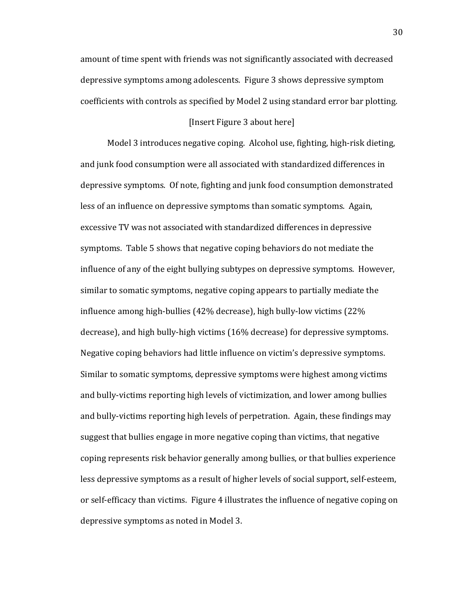amount of time spent with friends was not significantly associated with decreased depressive symptoms among adolescents. Figure 3 shows depressive symptom coefficients with controls as specified by Model 2 using standard error bar plotting.

## [Insert Figure 3 about here]

Model 3 introduces negative coping. Alcohol use, fighting, high-risk dieting, and junk food consumption were all associated with standardized differences in depressive symptoms. Of note, fighting and junk food consumption demonstrated less of an influence on depressive symptoms than somatic symptoms. Again, excessive TV was not associated with standardized differences in depressive symptoms. Table 5 shows that negative coping behaviors do not mediate the influence of any of the eight bullying subtypes on depressive symptoms. However, similar to somatic symptoms, negative coping appears to partially mediate the influence among high-bullies (42% decrease), high bully-low victims (22%) decrease), and high bully-high victims (16% decrease) for depressive symptoms. Negative coping behaviors had little influence on victim's depressive symptoms. Similar to somatic symptoms, depressive symptoms were highest among victims" and bully-victims reporting high levels of victimization, and lower among bullies and bully-victims reporting high levels of perpetration. Again, these findings may suggest that bullies engage in more negative coping than victims, that negative coping represents risk behavior generally among bullies, or that bullies experience less depressive symptoms as a result of higher levels of social support, self-esteem, or self-efficacy than victims. Figure 4 illustrates the influence of negative coping on depressive symptoms as noted in Model 3.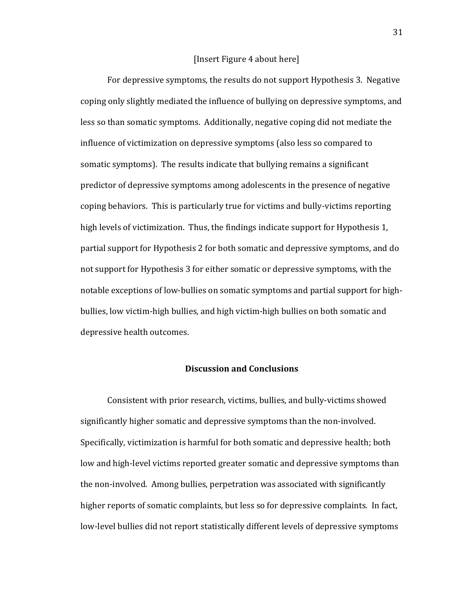### [Insert Figure 4 about here]

For depressive symptoms, the results do not support Hypothesis 3. Negative coping only slightly mediated the influence of bullying on depressive symptoms, and less so than somatic symptoms. Additionally, negative coping did not mediate the influence of victimization on depressive symptoms (also less so compared to somatic symptoms). The results indicate that bullying remains a significant predictor of depressive symptoms among adolescents in the presence of negative coping behaviors. This is particularly true for victims and bully-victims reporting high levels of victimization. Thus, the findings indicate support for Hypothesis 1, partial support for Hypothesis 2 for both somatic and depressive symptoms, and do not support for Hypothesis 3 for either somatic or depressive symptoms, with the notable exceptions of low-bullies on somatic symptoms and partial support for highbullies, low victim-high bullies, and high victim-high bullies on both somatic and depressive health outcomes.

#### **Discussion!and!Conclusions**

Consistent with prior research, victims, bullies, and bully-victims showed significantly higher somatic and depressive symptoms than the non-involved. Specifically, victimization is harmful for both somatic and depressive health; both low and high-level victims reported greater somatic and depressive symptoms than the non-involved. Among bullies, perpetration was associated with significantly higher reports of somatic complaints, but less so for depressive complaints. In fact, low-level bullies did not report statistically different levels of depressive symptoms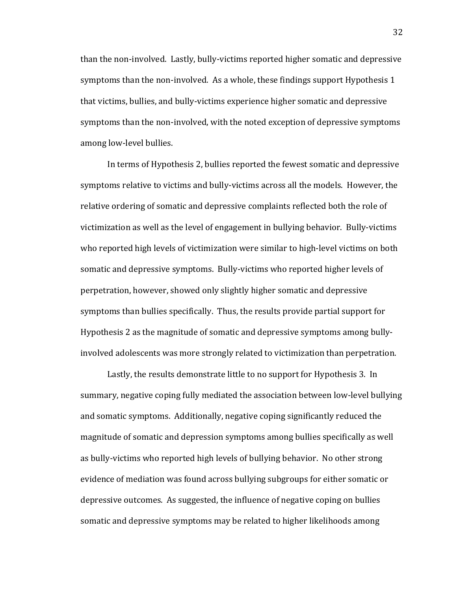than the non-involved. Lastly, bully-victims reported higher somatic and depressive symptoms than the non-involved. As a whole, these findings support Hypothesis 1 that victims, bullies, and bully-victims experience higher somatic and depressive symptoms than the non-involved, with the noted exception of depressive symptoms among low-level bullies.

In terms of Hypothesis 2, bullies reported the fewest somatic and depressive symptoms relative to victims and bully-victims across all the models. However, the relative ordering of somatic and depressive complaints reflected both the role of victimization as well as the level of engagement in bullying behavior. Bully-victims who reported high levels of victimization were similar to high-level victims on both somatic and depressive symptoms. Bully-victims who reported higher levels of perpetration, however, showed only slightly higher somatic and depressive symptoms than bullies specifically. Thus, the results provide partial support for Hypothesis 2 as the magnitude of somatic and depressive symptoms among bullyinvolved adolescents was more strongly related to victimization than perpetration.

Lastly, the results demonstrate little to no support for Hypothesis 3. In summary, negative coping fully mediated the association between low-level bullying and somatic symptoms. Additionally, negative coping significantly reduced the magnitude of somatic and depression symptoms among bullies specifically as well as bully-victims who reported high levels of bullying behavior. No other strong evidence of mediation was found across bullying subgroups for either somatic or depressive outcomes. As suggested, the influence of negative coping on bullies somatic and depressive symptoms may be related to higher likelihoods among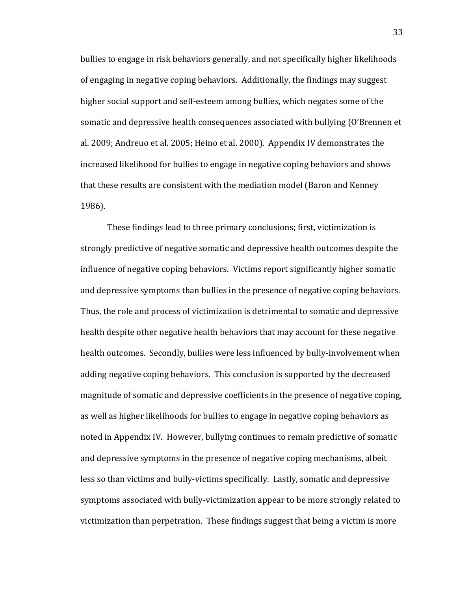bullies to engage in risk behaviors generally, and not specifically higher likelihoods" of engaging in negative coping behaviors. Additionally, the findings may suggest higher social support and self-esteem among bullies, which negates some of the somatic and depressive health consequences associated with bullying (O'Brennen et") al. 2009; Andreuo et al. 2005; Heino et al. 2000). Appendix IV demonstrates the increased likelihood for bullies to engage in negative coping behaviors and shows that these results are consistent with the mediation model (Baron and Kenney") 1986).

These findings lead to three primary conclusions; first, victimization is strongly predictive of negative somatic and depressive health outcomes despite the influence of negative coping behaviors. Victims report significantly higher somatic and depressive symptoms than bullies in the presence of negative coping behaviors. Thus, the role and process of victimization is detrimental to somatic and depressive health despite other negative health behaviors that may account for these negative health outcomes. Secondly, bullies were less influenced by bully-involvement when adding negative coping behaviors. This conclusion is supported by the decreased magnitude of somatic and depressive coefficients in the presence of negative coping, as well as higher likelihoods for bullies to engage in negative coping behaviors as noted in Appendix IV. However, bullying continues to remain predictive of somatic and depressive symptoms in the presence of negative coping mechanisms, albeit less so than victims and bully-victims specifically. Lastly, somatic and depressive symptoms associated with bully-victimization appear to be more strongly related to victimization than perpetration. These findings suggest that being a victim is more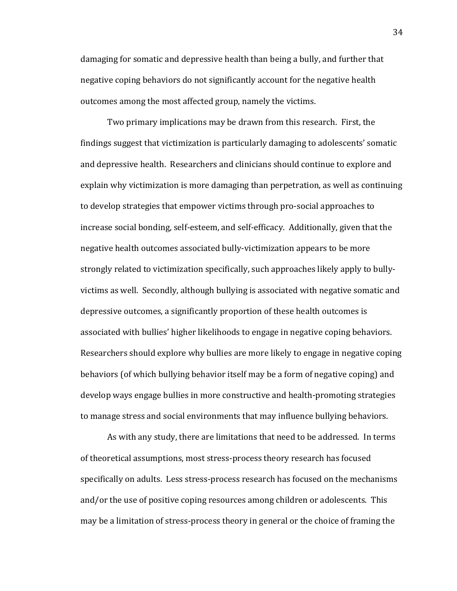damaging for somatic and depressive health than being a bully, and further that negative coping behaviors do not significantly account for the negative health outcomes among the most affected group, namely the victims.

Two primary implications may be drawn from this research. First, the findings suggest that victimization is particularly damaging to adolescents' somatic and depressive health. Researchers and clinicians should continue to explore and explain why victimization is more damaging than perpetration, as well as continuing to develop strategies that empower victims through pro-social approaches to increase social bonding, self-esteem, and self-efficacy. Additionally, given that the negative health outcomes associated bully-victimization appears to be more strongly related to victimization specifically, such approaches likely apply to bullyvictims as well. Secondly, although bullying is associated with negative somatic and depressive outcomes, a significantly proportion of these health outcomes is" associated with bullies' higher likelihoods to engage in negative coping behaviors. Researchers should explore why bullies are more likely to engage in negative coping behaviors (of which bullying behavior itself may be a form of negative coping) and develop ways engage bullies in more constructive and health-promoting strategies to manage stress and social environments that may influence bullying behaviors.

As with any study, there are limitations that need to be addressed. In terms of theoretical assumptions, most stress-process theory research has focused specifically on adults. Less stress-process research has focused on the mechanisms and/or the use of positive coping resources among children or adolescents. This may be a limitation of stress-process theory in general or the choice of framing the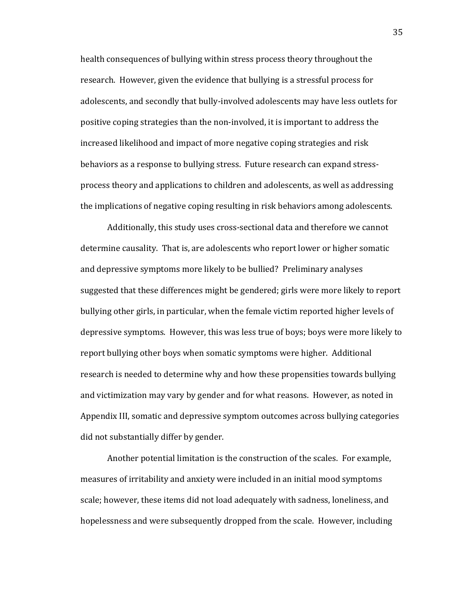health consequences of bullying within stress process theory throughout the research. However, given the evidence that bullying is a stressful process for adolescents, and secondly that bully-involved adolescents may have less outlets for positive coping strategies than the non-involved, it is important to address the increased likelihood and impact of more negative coping strategies and risk behaviors as a response to bullying stress. Future research can expand stressprocess theory and applications to children and adolescents, as well as addressing the implications of negative coping resulting in risk behaviors among adolescents.

Additionally, this study uses cross-sectional data and therefore we cannot determine causality. That is, are adolescents who report lower or higher somatic and depressive symptoms more likely to be bullied? Preliminary analyses suggested that these differences might be gendered; girls were more likely to report bullying other girls, in particular, when the female victim reported higher levels of depressive symptoms. However, this was less true of boys; boys were more likely to report bullying other boys when somatic symptoms were higher. Additional research is needed to determine why and how these propensities towards bullying and victimization may vary by gender and for what reasons. However, as noted in Appendix III, somatic and depressive symptom outcomes across bullying categories did not substantially differ by gender.

Another potential limitation is the construction of the scales. For example, measures of irritability and anxiety were included in an initial mood symptoms scale; however, these items did not load adequately with sadness, loneliness, and hopelessness and were subsequently dropped from the scale. However, including

35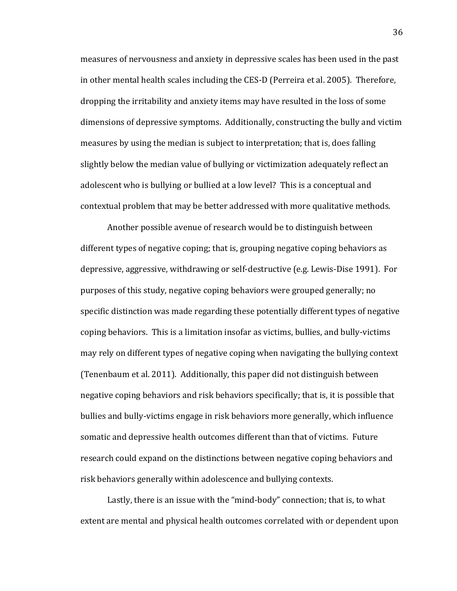measures of nervousness and anxiety in depressive scales has been used in the past in other mental health scales including the CES-D (Perreira et al. 2005). Therefore, dropping the irritability and anxiety items may have resulted in the loss of some dimensions of depressive symptoms. Additionally, constructing the bully and victim measures by using the median is subject to interpretation; that is, does falling slightly below the median value of bullying or victimization adequately reflect an adolescent who is bullying or bullied at a low level? This is a conceptual and contextual problem that may be better addressed with more qualitative methods.

Another possible avenue of research would be to distinguish between different types of negative coping; that is, grouping negative coping behaviors as depressive, aggressive, withdrawing or self-destructive (e.g. Lewis-Dise 1991). For purposes of this study, negative coping behaviors were grouped generally; no specific distinction was made regarding these potentially different types of negative coping behaviors. This is a limitation insofar as victims, bullies, and bully-victims may rely on different types of negative coping when navigating the bullying context (Tenenbaum et al. 2011). Additionally, this paper did not distinguish between negative coping behaviors and risk behaviors specifically; that is, it is possible that bullies and bully-victims engage in risk behaviors more generally, which influence somatic and depressive health outcomes different than that of victims. Future research could expand on the distinctions between negative coping behaviors and risk behaviors generally within adolescence and bullying contexts.

Lastly, there is an issue with the "mind-body" connection; that is, to what extent are mental and physical health outcomes correlated with or dependent upon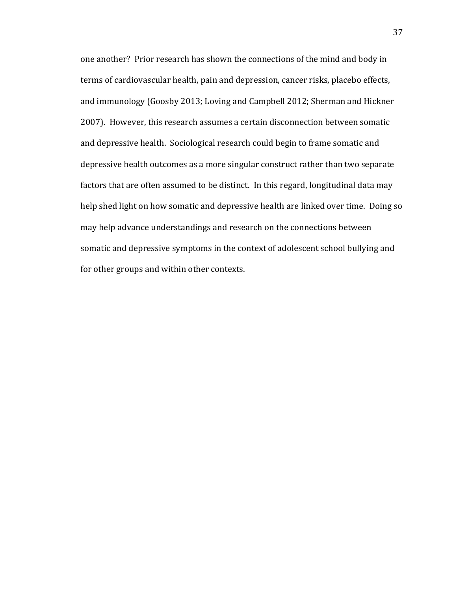one another? Prior research has shown the connections of the mind and body in terms of cardiovascular health, pain and depression, cancer risks, placebo effects, and immunology (Goosby 2013; Loving and Campbell 2012; Sherman and Hickner 2007). However, this research assumes a certain disconnection between somatic and depressive health. Sociological research could begin to frame somatic and depressive health outcomes as a more singular construct rather than two separate factors that are often assumed to be distinct. In this regard, longitudinal data may help shed light on how somatic and depressive health are linked over time. Doing so may help advance understandings and research on the connections between somatic and depressive symptoms in the context of adolescent school bullying and for other groups and within other contexts.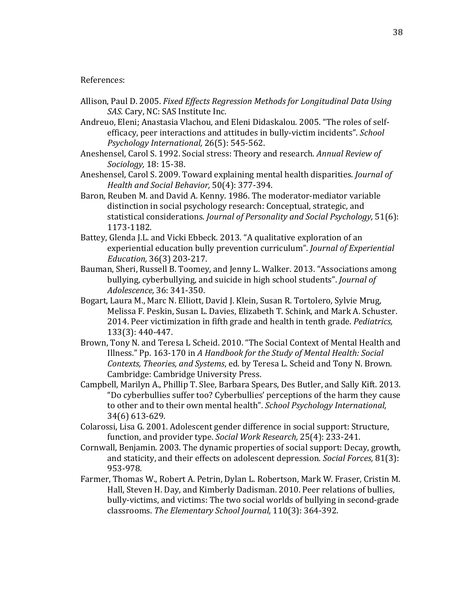## References:

- Allison, Paul D. 2005. *Fixed Effects Regression Methods for Longitudinal Data Using SAS. Cary. NC: SAS Institute Inc.*
- Andreuo, Eleni; Anastasia Vlachou, and Eleni Didaskalou. 2005. "The roles of selfefficacy, peer interactions and attitudes in bully-victim incidents". *School Psychology International,* 26(5): 545-562.
- Aneshensel, Carol S. 1992. Social stress: Theory and research. *Annual Review of Sociology*, 18: 15-38.
- Aneshensel, Carol S. 2009. Toward explaining mental health disparities. *Journal of Health and Social Behavior,* 50(4): 377-394.
- Baron, Reuben M. and David A. Kenny. 1986. The moderator-mediator variable distinction in social psychology research: Conceptual, strategic, and statistical considerations. *Journal of Personality and Social Psychology*, 51(6): 1173-1182.
- Battey, Glenda J.L. and Vicki Ebbeck. 2013. "A qualitative exploration of an experiential education bully prevention curriculum". *Journal of Experiential Education,* 36(3) 203-217.
- Bauman, Sheri, Russell B. Toomey, and Jenny L. Walker. 2013. "Associations among bullying, cyberbullying, and suicide in high school students". *Journal of Adolescence,* 36: 341-350.
- Bogart, Laura M., Marc N. Elliott, David J. Klein, Susan R. Tortolero, Sylvie Mrug, Melissa F. Peskin, Susan L. Davies, Elizabeth T. Schink, and Mark A. Schuster. 2014. Peer victimization in fifth grade and health in tenth grade. *Pediatrics*, 133(3): 440-447.
- Brown, Tony N. and Teresa L Scheid. 2010. "The Social Context of Mental Health and Illness." Pp. 163-170 in A Handbook for the Study of Mental Health: Social *Contexts, Theories, and Systems, ed. by Teresa L. Scheid and Tony N. Brown.* Cambridge: Cambridge University Press.
- Campbell, Marilyn A., Phillip T. Slee, Barbara Spears, Des Butler, and Sally Kift. 2013. "Do cyberbullies suffer too? Cyberbullies' perceptions of the harm they cause to other and to their own mental health". *School Psychology International*, 34(6) 613-629.
- Colarossi, Lisa G. 2001. Adolescent gender difference in social support: Structure, function, and provider type. *Social Work Research,* 25(4): 233-241.
- Cornwall, Benjamin. 2003. The dynamic properties of social support: Decay, growth, and staticity, and their effects on adolescent depression. *Social Forces*, 81(3): 953-978.
- Farmer, Thomas W., Robert A. Petrin, Dylan L. Robertson, Mark W. Fraser, Cristin M. Hall, Steven H. Day, and Kimberly Dadisman. 2010. Peer relations of bullies, bully-victims, and victims: The two social worlds of bullying in second-grade classrooms. The Elementary School Journal, 110(3): 364-392.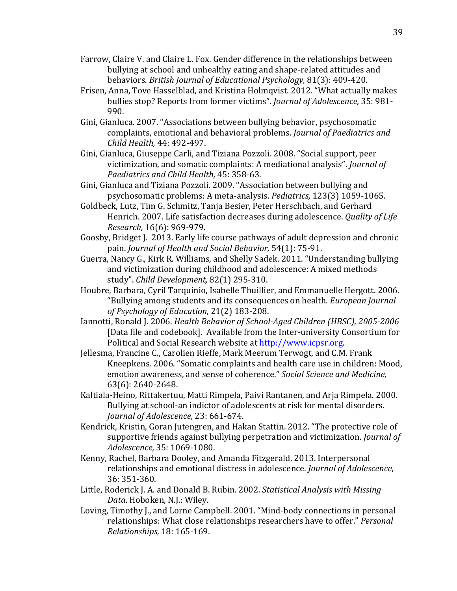- Farrow, Claire V. and Claire L. Fox. Gender difference in the relationships between bullying at school and unhealthy eating and shape-related attitudes and behaviors. *British Journal of Educational Psychology, 81(3): 409-420.*
- Frisen, Anna, Tove Hasselblad, and Kristina Holmqvist. 2012. "What actually makes" bullies stop? Reports from former victims". *Journal of Adolescence*, 35: 981-990.
- Gini, Gianluca. 2007. "Associations between bullying behavior, psychosomatic complaints, emotional and behavioral problems. *Journal of Paediatrics and Child Health, 44: 492-497.*
- Gini, Gianluca, Giuseppe Carli, and Tiziana Pozzoli. 2008. "Social support, peer victimization, and somatic complaints: A mediational analysis". *Journal of Paediatrics and Child Health, 45: 358-63.*
- Gini, Gianluca and Tiziana Pozzoli. 2009. "Association between bullying and psychosomatic problems: A meta-analysis. *Pediatrics*, 123(3) 1059-1065.
- Goldbeck, Lutz, Tim G. Schmitz, Tanja Besier, Peter Herschbach, and Gerhard Henrich. 2007. Life satisfaction decreases during adolescence. *Quality of Life Research,* 16(6): 969-979.
- Goosby, Bridget J. 2013. Early life course pathways of adult depression and chronic pain. *Journal of Health and Social Behavior*, 54(1): 75-91.
- Guerra, Nancy G., Kirk R. Williams, and Shelly Sadek. 2011. "Understanding bullying and victimization during childhood and adolescence: A mixed methods study". Child Development, 82(1) 295-310.
- Houbre, Barbara, Cyril Tarquinio, Isabelle Thuillier, and Emmanuelle Hergott. 2006. "Bullying"among"students"and"its"consequences"on"health."*European!Journal!* of Psychology of Education, 21(2) 183-208.
- Iannotti, Ronald J. 2006. *Health Behavior of School-Aged Children (HBSC), 2005-2006* [Data file and codebook]. Available from the Inter-university Consortium for Political and Social Research website at http://www.icpsr.org."
- Jellesma, Francine C., Carolien Rieffe, Mark Meerum Terwogt, and C.M. Frank Kneepkens. 2006. "Somatic complaints and health care use in children: Mood, emotion awareness, and sense of coherence." Social Science and Medicine, 63(6): 2640-2648.
- Kaltiala-Heino, Rittakertuu, Matti Rimpela, Paivi Rantanen, and Arja Rimpela. 2000. Bullying at school-an indictor of adolescents at risk for mental disorders. *Journal of Adolescence,* 23: 661-674.
- Kendrick, Kristin, Goran Jutengren, and Hakan Stattin. 2012. "The protective role of supportive friends against bullying perpetration and victimization. *Journal of Adolescence*, 35: 1069-1080.
- Kenny, Rachel, Barbara Dooley, and Amanda Fitzgerald. 2013. Interpersonal relationships and emotional distress in adolescence. *Journal of Adolescence*, 36: 351-360.
- Little, Roderick J. A. and Donald B. Rubin. 2002. *Statistical Analysis with Missing* Data. Hoboken, N.J.: Wiley.
- Loving, Timothy J., and Lorne Campbell. 2001. "Mind-body connections in personal relationships: What close relationships researchers have to offer." *Personal Relationships, 18: 165-169.*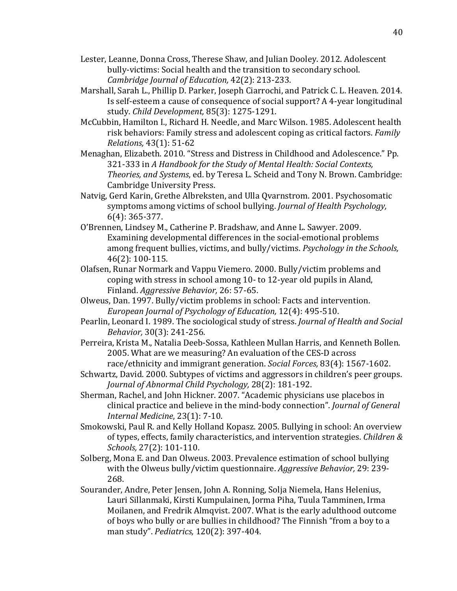- Lester, Leanne, Donna Cross, Therese Shaw, and Julian Dooley. 2012. Adolescent bully-victims: Social health and the transition to secondary school. *Cambridge Journal of Education, 42(2): 213-233.*
- Marshall, Sarah L., Phillip D. Parker, Joseph Ciarrochi, and Patrick C. L. Heaven. 2014. Is self-esteem a cause of consequence of social support? A 4-year longitudinal study. *Child Development*, 85(3): 1275-1291.
- McCubbin, Hamilton I., Richard H. Needle, and Marc Wilson. 1985. Adolescent health risk behaviors: Family stress and adolescent coping as critical factors. *Family Relations,* 43(1): 51-62
- Menaghan, Elizabeth. 2010. "Stress and Distress in Childhood and Adolescence." Pp. 321-333 in A Handbook for the Study of Mental Health: Social Contexts, *Theories, and Systems, ed. by Teresa L. Scheid and Tony N. Brown. Cambridge:* Cambridge University Press.
- Natvig, Gerd Karin, Grethe Albreksten, and Ulla Qvarnstrom. 2001. Psychosomatic symptoms among victims of school bullying. *Journal of Health Psychology*,  $6(4): 365 - 377.$
- O'Brennen, Lindsey M., Catherine P. Bradshaw, and Anne L. Sawyer. 2009. Examining developmental differences in the social-emotional problems among frequent bullies, victims, and bully/victims. *Psychology in the Schools*,  $46(2): 100-115.$
- Olafsen, Runar Normark and Vappu Viemero. 2000. Bully/victim problems and coping with stress in school among 10- to 12-year old pupils in Aland, Finland. *Aggressive Behavior*, 26: 57-65.
- Olweus, Dan. 1997. Bully/victim problems in school: Facts and intervention. *European Journal of Psychology of Education, 12(4): 495-510.*
- Pearlin, Leonard I. 1989. The sociological study of stress. *Journal of Health and Social Behavior*, 30(3): 241-256.
- Perreira, Krista M., Natalia Deeb-Sossa, Kathleen Mullan Harris, and Kenneth Bollen. 2005. What are we measuring? An evaluation of the CES-D across race/ethnicity and immigrant generation. *Social Forces*, 83(4): 1567-1602.
- Schwartz, David. 2000. Subtypes of victims and aggressors in children's peer groups. *Journal of Abnormal Child Psychology, 28(2): 181-192.*
- Sherman, Rachel, and John Hickner. 2007. "Academic physicians use placebos in clinical practice and believe in the mind-body connection". *Journal of General Internal Medicine*, 23(1): 7-10.
- Smokowski, Paul R. and Kelly Holland Kopasz. 2005. Bullying in school: An overview of types, effects, family characteristics, and intervention strategies. *Children & Schools,* 27(2): 101-110.
- Solberg, Mona E. and Dan Olweus. 2003. Prevalence estimation of school bullying with the Olweus bully/victim questionnaire. *Aggressive Behavior*, 29: 239-268."
- Sourander, Andre, Peter Jensen, John A. Ronning, Solja Niemela, Hans Helenius, Lauri Sillanmaki, Kirsti Kumpulainen, Jorma Piha, Tuula Tamminen, Irma Moilanen, and Fredrik Almqvist. 2007. What is the early adulthood outcome of boys who bully or are bullies in childhood? The Finnish "from a boy to a man study". Pediatrics, 120(2): 397-404.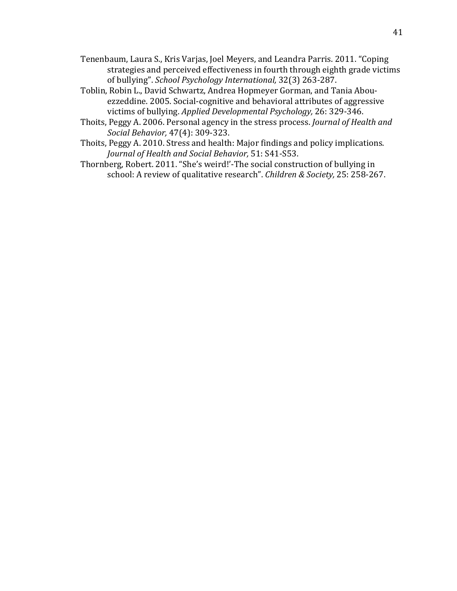- Tenenbaum, Laura S., Kris Varjas, Joel Meyers, and Leandra Parris. 2011. "Coping strategies and perceived effectiveness in fourth through eighth grade victims of bullying". *School Psychology International*, 32(3) 263-287.
- Toblin, Robin L., David Schwartz, Andrea Hopmeyer Gorman, and Tania Abouezzeddine. 2005. Social-cognitive and behavioral attributes of aggressive victims of bullying. *Applied Developmental Psychology*, 26: 329-346.
- Thoits, Peggy A. 2006. Personal agency in the stress process. *Journal of Health and Social Behavior, 47(4): 309-323.*
- Thoits, Peggy A. 2010. Stress and health: Major findings and policy implications. *Journal of Health and Social Behavior,* 51: S41-S53.
- Thornberg, Robert. 2011. "She's weird!'-The social construction of bullying in school: A review of qualitative research". *Children & Society*, 25: 258-267.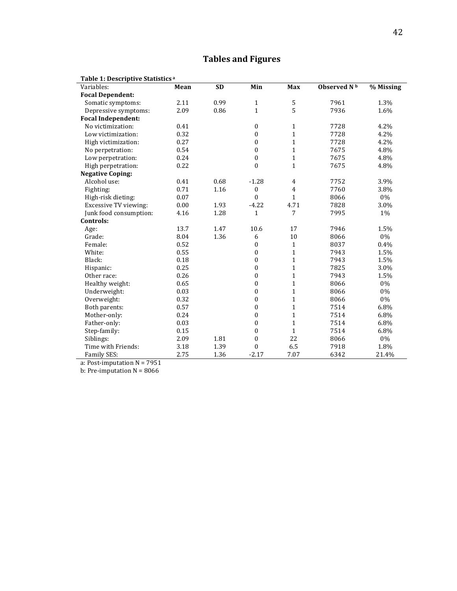# 42

# **Tables!and!Figures**

| Table 1: Descriptive Statistics <sup>a</sup> |      |           |                  |                |                         |           |
|----------------------------------------------|------|-----------|------------------|----------------|-------------------------|-----------|
| Variables:                                   | Mean | <b>SD</b> | Min              | Max            | Observed N <sup>b</sup> | % Missing |
| <b>Focal Dependent:</b>                      |      |           |                  |                |                         |           |
| Somatic symptoms:                            | 2.11 | 0.99      | $\mathbf{1}$     | 5              | 7961                    | 1.3%      |
| Depressive symptoms:                         | 2.09 | 0.86      | $\mathbf{1}$     | 5              | 7936                    | 1.6%      |
| <b>Focal Independent:</b>                    |      |           |                  |                |                         |           |
| No victimization:                            | 0.41 |           | $\boldsymbol{0}$ | $\mathbf{1}$   | 7728                    | 4.2%      |
| Low victimization:                           | 0.32 |           | $\boldsymbol{0}$ | $\mathbf{1}$   | 7728                    | 4.2%      |
| High victimization:                          | 0.27 |           | $\mathbf{0}$     | $\mathbf{1}$   | 7728                    | 4.2%      |
| No perpetration:                             | 0.54 |           | $\mathbf{0}$     | $\mathbf{1}$   | 7675                    | 4.8%      |
| Low perpetration:                            | 0.24 |           | $\boldsymbol{0}$ | $\mathbf{1}$   | 7675                    | 4.8%      |
| High perpetration:                           | 0.22 |           | $\mathbf{0}$     | $\mathbf{1}$   | 7675                    | 4.8%      |
| <b>Negative Coping:</b>                      |      |           |                  |                |                         |           |
| Alcohol use:                                 | 0.41 | 0.68      | $-1.28$          | $\overline{4}$ | 7752                    | 3.9%      |
| Fighting:                                    | 0.71 | 1.16      | $\mathbf{0}$     | $\overline{4}$ | 7760                    | 3.8%      |
| High-risk dieting:                           | 0.07 |           | $\mathbf{0}$     | $\mathbf{1}$   | 8066                    | $0\%$     |
| <b>Excessive TV viewing:</b>                 | 0.00 | 1.93      | $-4.22$          | 4.71           | 7828                    | 3.0%      |
| Junk food consumption:                       | 4.16 | 1.28      | $\mathbf{1}$     | 7              | 7995                    | 1%        |
| Controls:                                    |      |           |                  |                |                         |           |
| Age:                                         | 13.7 | 1.47      | 10.6             | 17             | 7946                    | 1.5%      |
| Grade:                                       | 8.04 | 1.36      | 6                | 10             | 8066                    | 0%        |
| Female:                                      | 0.52 |           | $\boldsymbol{0}$ | $\mathbf{1}$   | 8037                    | $0.4\%$   |
| White:                                       | 0.55 |           | $\boldsymbol{0}$ | $\mathbf{1}$   | 7943                    | 1.5%      |
| Black:                                       | 0.18 |           | $\boldsymbol{0}$ | $\mathbf{1}$   | 7943                    | 1.5%      |
| Hispanic:                                    | 0.25 |           | $\boldsymbol{0}$ | $\mathbf{1}$   | 7825                    | 3.0%      |
| Other race:                                  | 0.26 |           | $\boldsymbol{0}$ | $\mathbf{1}$   | 7943                    | 1.5%      |
| Healthy weight:                              | 0.65 |           | $\mathbf{0}$     | $\mathbf{1}$   | 8066                    | 0%        |
| Underweight:                                 | 0.03 |           | $\mathbf{0}$     | $\mathbf{1}$   | 8066                    | 0%        |
| Overweight:                                  | 0.32 |           | $\mathbf{0}$     | $\mathbf{1}$   | 8066                    | $0\%$     |
| Both parents:                                | 0.57 |           | $\boldsymbol{0}$ | $\mathbf{1}$   | 7514                    | 6.8%      |
| Mother-only:                                 | 0.24 |           | $\boldsymbol{0}$ | $\mathbf{1}$   | 7514                    | 6.8%      |
| Father-only:                                 | 0.03 |           | $\boldsymbol{0}$ | $\mathbf{1}$   | 7514                    | 6.8%      |
| Step-family:                                 | 0.15 |           | $\boldsymbol{0}$ | $\mathbf{1}$   | 7514                    | 6.8%      |
| Siblings:                                    | 2.09 | 1.81      | $\boldsymbol{0}$ | 22             | 8066                    | 0%        |
| Time with Friends:                           | 3.18 | 1.39      | $\mathbf{0}$     | 6.5            | 7918                    | 1.8%      |
| Family SES:                                  | 2.75 | 1.36      | $-2.17$          | 7.07           | 6342                    | 21.4%     |

a: Post-imputation  $N = 7951$ 

b: Pre-imputation  $N = 8066$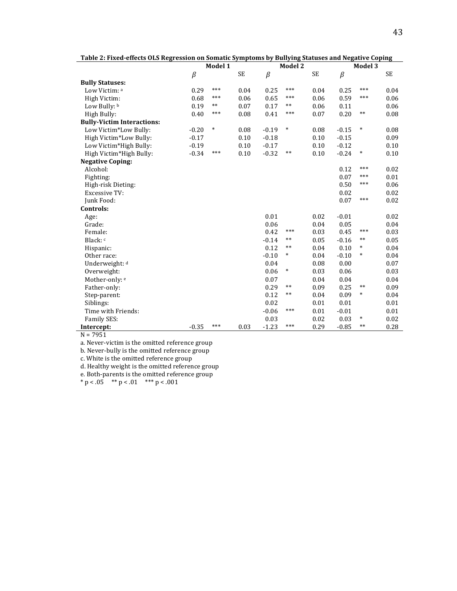| ruste <b>=</b> 1 med enects ons negr | ession on somatic symptoms by | Model 1 |           |         | Model 2 | banying biatases and nego |         | <b>Model 3</b> |           |
|--------------------------------------|-------------------------------|---------|-----------|---------|---------|---------------------------|---------|----------------|-----------|
|                                      | $\beta$                       |         | <b>SE</b> | $\beta$ |         | <b>SE</b>                 | $\beta$ |                | <b>SE</b> |
| <b>Bully Statuses:</b>               |                               |         |           |         |         |                           |         |                |           |
| Low Victim: a                        | 0.29                          | ***     | 0.04      | 0.25    | ***     | 0.04                      | 0.25    | ***            | 0.04      |
| High Victim:                         | 0.68                          | ***     | 0.06      | 0.65    | $***$   | 0.06                      | 0.59    | ***            | 0.06      |
| Low Bully: b                         | 0.19                          | $***$   | 0.07      | 0.17    | $***$   | 0.06                      | 0.11    |                | 0.06      |
| High Bully:                          | 0.40                          | ***     | 0.08      | 0.41    | $***$   | 0.07                      | 0.20    | $***$          | 0.08      |
| <b>Bully-Victim Interactions:</b>    |                               |         |           |         |         |                           |         |                |           |
| Low Victim*Low Bully:                | $-0.20$                       | $\ast$  | 0.08      | $-0.19$ | $\ast$  | 0.08                      | $-0.15$ | *              | 0.08      |
| High Victim*Low Bully:               | $-0.17$                       |         | 0.10      | $-0.18$ |         | 0.10                      | $-0.15$ |                | 0.09      |
| Low Victim*High Bully:               | $-0.19$                       |         | 0.10      | $-0.17$ |         | 0.10                      | $-0.12$ |                | 0.10      |
| High Victim*High Bully:              | $-0.34$                       | ***     | 0.10      | $-0.32$ | $***$   | 0.10                      | $-0.24$ | $\ast$         | 0.10      |
| <b>Negative Coping:</b>              |                               |         |           |         |         |                           |         |                |           |
| Alcohol:                             |                               |         |           |         |         |                           | 0.12    | ***            | 0.02      |
| Fighting:                            |                               |         |           |         |         |                           | 0.07    | ***            | 0.01      |
| High-risk Dieting:                   |                               |         |           |         |         |                           | 0.50    | ***            | 0.06      |
| <b>Excessive TV:</b>                 |                               |         |           |         |         |                           | 0.02    |                | 0.02      |
| Junk Food:                           |                               |         |           |         |         |                           | 0.07    | ***            | 0.02      |
| Controls:                            |                               |         |           |         |         |                           |         |                |           |
| Age:                                 |                               |         |           | 0.01    |         | 0.02                      | $-0.01$ |                | 0.02      |
| Grade:                               |                               |         |           | 0.06    |         | 0.04                      | 0.05    |                | 0.04      |
| Female:                              |                               |         |           | 0.42    | $***$   | 0.03                      | 0.45    | ***            | 0.03      |
| Black: c                             |                               |         |           | $-0.14$ | $***$   | 0.05                      | $-0.16$ | **             | 0.05      |
| Hispanic:                            |                               |         |           | 0.12    | $***$   | 0.04                      | 0.10    | $\ast$         | 0.04      |
| Other race:                          |                               |         |           | $-0.10$ | *       | 0.04                      | $-0.10$ | *              | 0.04      |
| Underweight: d                       |                               |         |           | 0.04    |         | 0.08                      | 0.00    |                | 0.07      |
| Overweight:                          |                               |         |           | 0.06    | *       | 0.03                      | 0.06    |                | 0.03      |
| Mother-only: e                       |                               |         |           | 0.07    |         | 0.04                      | 0.04    |                | 0.04      |
| Father-only:                         |                               |         |           | 0.29    | $***$   | 0.09                      | 0.25    | $***$          | 0.09      |
| Step-parent:                         |                               |         |           | 0.12    | $***$   | 0.04                      | 0.09    | *              | 0.04      |
| Siblings:                            |                               |         |           | 0.02    |         | 0.01                      | 0.01    |                | 0.01      |
| Time with Friends:                   |                               |         |           | $-0.06$ | ***     | 0.01                      | $-0.01$ |                | 0.01      |
| Family SES:                          |                               |         |           | 0.03    |         | 0.02                      | 0.03    | *              | 0.02      |
| Intercept:                           | $-0.35$                       | ***     | 0.03      | $-1.23$ | ***     | 0.29                      | $-0.85$ | **             | 0.28      |

Table 2: Fixed-effects OLS Regression on Somatic Symptoms by Bullying Statuses and Negative Coping

 $N = 7951$ 

a. Never-victim is the omitted reference group

b. Never-bully is the omitted reference group

c. White is the omitted reference group

d. Healthy weight is the omitted reference group

e. Both-parents is the omitted reference group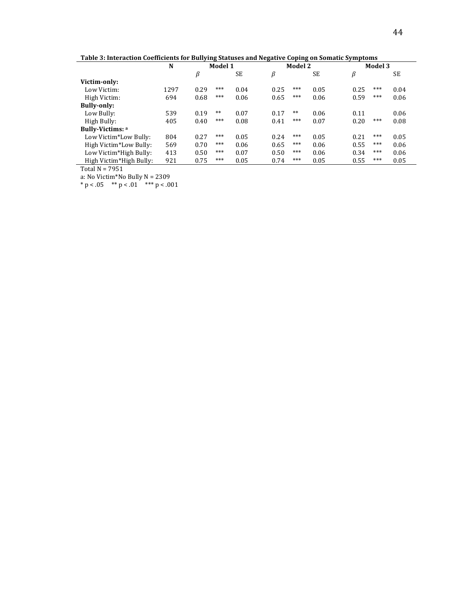44

Table 3: Interaction Coefficients for Bullying Statuses and Negative Coping on Somatic Symptoms

|                         | N    |      | Model 1 |           |      | Model 2 |      |      | Model 3 |           |
|-------------------------|------|------|---------|-----------|------|---------|------|------|---------|-----------|
|                         |      | β    |         | <b>SE</b> | β    |         | SE   | β    |         | <b>SE</b> |
| Victim-only:            |      |      |         |           |      |         |      |      |         |           |
| Low Victim:             | 1297 | 0.29 | ***     | 0.04      | 0.25 | ***     | 0.05 | 0.25 | ***     | 0.04      |
| High Victim:            | 694  | 0.68 | ***     | 0.06      | 0.65 | ***     | 0.06 | 0.59 | ***     | 0.06      |
| <b>Bully-only:</b>      |      |      |         |           |      |         |      |      |         |           |
| Low Bully:              | 539  | 0.19 | $***$   | 0.07      | 0.17 | $***$   | 0.06 | 0.11 |         | 0.06      |
| High Bully:             | 405  | 0.40 | ***     | 0.08      | 0.41 | ***     | 0.07 | 0.20 | ***     | 0.08      |
| <b>Bully-Victims: a</b> |      |      |         |           |      |         |      |      |         |           |
| Low Victim*Low Bully:   | 804  | 0.27 | ***     | 0.05      | 0.24 | ***     | 0.05 | 0.21 | ***     | 0.05      |
| High Victim*Low Bully:  | 569  | 0.70 | ***     | 0.06      | 0.65 | ***     | 0.06 | 0.55 | ***     | 0.06      |
| Low Victim*High Bully:  | 413  | 0.50 | ***     | 0.07      | 0.50 | ***     | 0.06 | 0.34 | ***     | 0.06      |
| High Victim*High Bully: | 921  | 0.75 | ***     | 0.05      | 0.74 | ***     | 0.05 | 0.55 | ***     | 0.05      |

 $\frac{mg}{\text{Total N} = 7951}$ 

a: No Victim\*No Bully N = 2309  $* p < .05$   $** p < .01$   $** p < .001$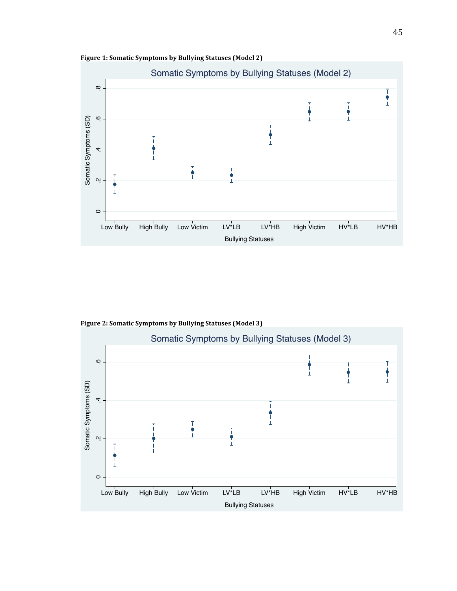



Figure 2: Somatic Symptoms by Bullying Statuses (Model 3)

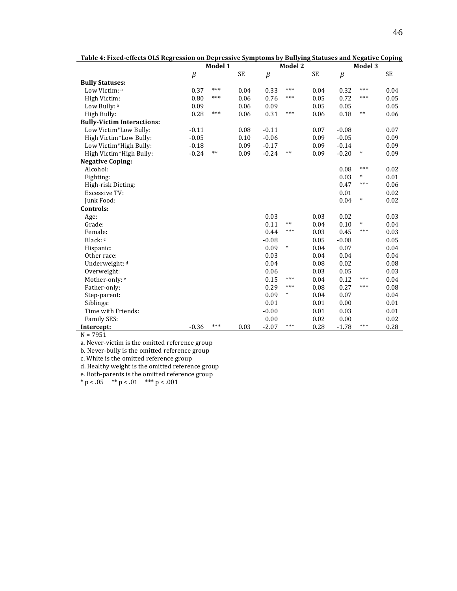| Table 4: Fixed-effects OLS Regression on Depressive Symptoms by Bullying Statuses and Negative Coping |         |         |      |         |         |           |         |         |           |
|-------------------------------------------------------------------------------------------------------|---------|---------|------|---------|---------|-----------|---------|---------|-----------|
|                                                                                                       |         | Model 1 |      |         | Model 2 |           |         | Model 3 |           |
|                                                                                                       | $\beta$ |         | SE   | $\beta$ |         | <b>SE</b> | $\beta$ |         | <b>SE</b> |
| <b>Bully Statuses:</b>                                                                                |         |         |      |         |         |           |         |         |           |
| Low Victim: a                                                                                         | 0.37    | ***     | 0.04 | 0.33    | ***     | 0.04      | 0.32    | ***     | 0.04      |
| High Victim:                                                                                          | 0.80    | ***     | 0.06 | 0.76    | ***     | 0.05      | 0.72    | ***     | 0.05      |
| Low Bully: b                                                                                          | 0.09    |         | 0.06 | 0.09    |         | 0.05      | 0.05    |         | 0.05      |
| High Bully:                                                                                           | 0.28    | ***     | 0.06 | 0.31    | ***     | 0.06      | 0.18    | $***$   | 0.06      |
| <b>Bully-Victim Interactions:</b>                                                                     |         |         |      |         |         |           |         |         |           |
| Low Victim*Low Bully:                                                                                 | $-0.11$ |         | 0.08 | $-0.11$ |         | 0.07      | $-0.08$ |         | 0.07      |
| High Victim*Low Bully:                                                                                | $-0.05$ |         | 0.10 | $-0.06$ |         | 0.09      | $-0.05$ |         | 0.09      |
| Low Victim*High Bully:                                                                                | $-0.18$ |         | 0.09 | $-0.17$ |         | 0.09      | $-0.14$ |         | 0.09      |
| High Victim*High Bully:                                                                               | $-0.24$ | $***$   | 0.09 | $-0.24$ | $***$   | 0.09      | $-0.20$ | $\ast$  | 0.09      |
| <b>Negative Coping:</b>                                                                               |         |         |      |         |         |           |         |         |           |
| Alcohol:                                                                                              |         |         |      |         |         |           | 0.08    | ***     | 0.02      |
| Fighting:                                                                                             |         |         |      |         |         |           | 0.03    | $\ast$  | 0.01      |
| High-risk Dieting:                                                                                    |         |         |      |         |         |           | 0.47    | ***     | 0.06      |
| <b>Excessive TV:</b>                                                                                  |         |         |      |         |         |           | 0.01    |         | 0.02      |
| Junk Food:                                                                                            |         |         |      |         |         |           | 0.04    | $\ast$  | 0.02      |
| Controls:                                                                                             |         |         |      |         |         |           |         |         |           |
| Age:                                                                                                  |         |         |      | 0.03    |         | 0.03      | 0.02    |         | 0.03      |
| Grade:                                                                                                |         |         |      | 0.11    | $***$   | 0.04      | 0.10    | $\ast$  | 0.04      |
| Female:                                                                                               |         |         |      | 0.44    | ***     | 0.03      | 0.45    | ***     | 0.03      |
| Black: c                                                                                              |         |         |      | $-0.08$ |         | 0.05      | $-0.08$ |         | 0.05      |
| Hispanic:                                                                                             |         |         |      | 0.09    | $\ast$  | 0.04      | 0.07    |         | 0.04      |
| Other race:                                                                                           |         |         |      | 0.03    |         | 0.04      | 0.04    |         | 0.04      |
| Underweight: d                                                                                        |         |         |      | 0.04    |         | 0.08      | 0.02    |         | 0.08      |
| Overweight:                                                                                           |         |         |      | 0.06    |         | 0.03      | 0.05    |         | 0.03      |
| Mother-only: e                                                                                        |         |         |      | 0.15    | ***     | 0.04      | 0.12    | ***     | 0.04      |
| Father-only:                                                                                          |         |         |      | 0.29    | ***     | 0.08      | 0.27    | ***     | 0.08      |
| Step-parent:                                                                                          |         |         |      | 0.09    | *       | 0.04      | 0.07    |         | 0.04      |
| Siblings:                                                                                             |         |         |      | 0.01    |         | 0.01      | 0.00    |         | 0.01      |
| Time with Friends:                                                                                    |         |         |      | $-0.00$ |         | 0.01      | 0.03    |         | 0.01      |
| Family SES:                                                                                           |         |         |      | 0.00    |         | 0.02      | 0.00    |         | 0.02      |
| Intercept:                                                                                            | $-0.36$ | ***     | 0.03 | $-2.07$ | ***     | 0.28      | $-1.78$ | ***     | 0.28      |

| Table 4: Fixed-effects OLS Regression on Depressive Symptoms by Bullying Statuses and Negative Coping |  |  |  |
|-------------------------------------------------------------------------------------------------------|--|--|--|
|                                                                                                       |  |  |  |

 $N = 7951$ 

a. Never-victim is the omitted reference group

b. Never-bully is the omitted reference group

c. White is the omitted reference group

d. Healthy weight is the omitted reference group

e. Both-parents is the omitted reference group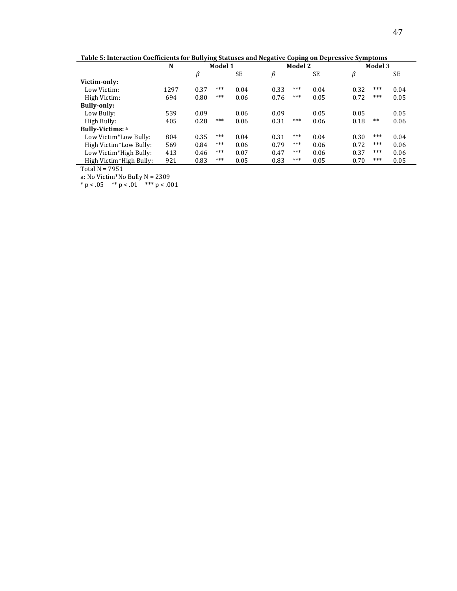Table 5: Interaction Coefficients for Bullying Statuses and Negative Coping on Depressive Symptoms

|                         | N    |      | Model 1 |           |      | Model 2 |      |      | Model 3 |      |
|-------------------------|------|------|---------|-----------|------|---------|------|------|---------|------|
|                         |      | β    |         | <b>SE</b> | β    |         | SE   | β    |         | SE   |
| Victim-only:            |      |      |         |           |      |         |      |      |         |      |
| Low Victim:             | 1297 | 0.37 | ***     | 0.04      | 0.33 | ***     | 0.04 | 0.32 | ***     | 0.04 |
| High Victim:            | 694  | 0.80 | ***     | 0.06      | 0.76 | ***     | 0.05 | 0.72 | ***     | 0.05 |
| <b>Bully-only:</b>      |      |      |         |           |      |         |      |      |         |      |
| Low Bully:              | 539  | 0.09 |         | 0.06      | 0.09 |         | 0.05 | 0.05 |         | 0.05 |
| High Bully:             | 405  | 0.28 | ***     | 0.06      | 0.31 | ***     | 0.06 | 0.18 | $***$   | 0.06 |
| <b>Bully-Victims: a</b> |      |      |         |           |      |         |      |      |         |      |
| Low Victim*Low Bully:   | 804  | 0.35 | ***     | 0.04      | 0.31 | ***     | 0.04 | 0.30 | ***     | 0.04 |
| High Victim*Low Bully:  | 569  | 0.84 | ***     | 0.06      | 0.79 | ***     | 0.06 | 0.72 | ***     | 0.06 |
| Low Victim*High Bully:  | 413  | 0.46 | ***     | 0.07      | 0.47 | ***     | 0.06 | 0.37 | ***     | 0.06 |
| High Victim*High Bully: | 921  | 0.83 | ***     | 0.05      | 0.83 | ***     | 0.05 | 0.70 | ***     | 0.05 |

Total  $N = 7951$ 

a: No Victim\*No Bully N = 2309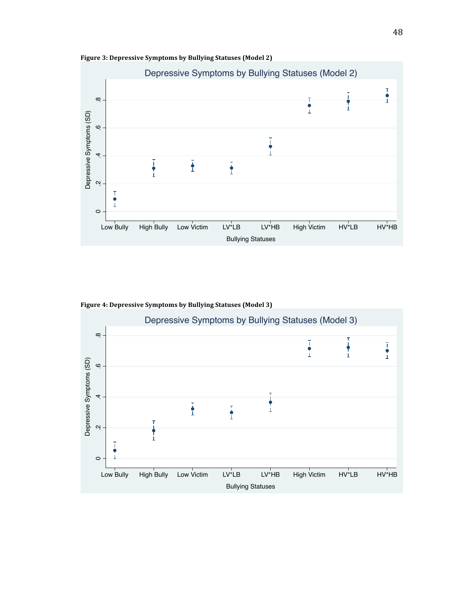



Figure 4: Depressive Symptoms by Bullying Statuses (Model 3)

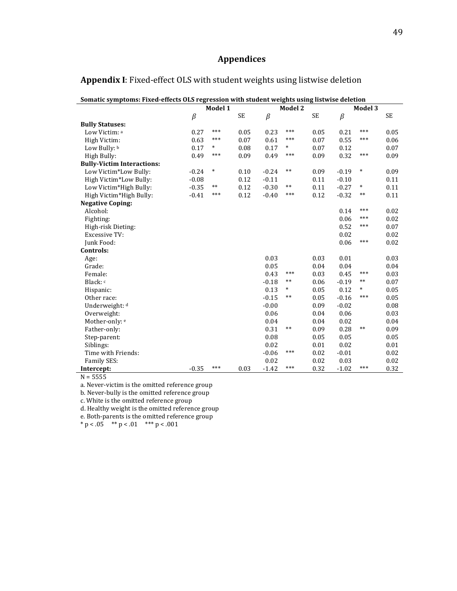# **Appendices**

| Somatic symptoms: Fixed-effects OLS regression with student weights using listwise deletion |         |         |           |         |         |           |         |         |      |
|---------------------------------------------------------------------------------------------|---------|---------|-----------|---------|---------|-----------|---------|---------|------|
|                                                                                             |         | Model 1 |           |         | Model 2 |           |         | Model 3 |      |
|                                                                                             | $\beta$ |         | <b>SE</b> | $\beta$ |         | <b>SE</b> | $\beta$ |         | SE   |
| <b>Bully Statuses:</b>                                                                      |         |         |           |         |         |           |         |         |      |
| Low Victim: a                                                                               | 0.27    | $***$   | 0.05      | 0.23    | ***     | 0.05      | 0.21    | $***$   | 0.05 |
| High Victim:                                                                                | 0.63    | ***     | 0.07      | 0.61    | ***     | 0.07      | 0.55    | ***     | 0.06 |
| Low Bully: b                                                                                | 0.17    | $\ast$  | 0.08      | 0.17    | $\ast$  | 0.07      | 0.12    |         | 0.07 |
| High Bully:                                                                                 | 0.49    | $***$   | 0.09      | 0.49    | ***     | 0.09      | 0.32    | $***$   | 0.09 |
| <b>Bully-Victim Interactions:</b>                                                           |         |         |           |         |         |           |         |         |      |
| Low Victim*Low Bully:                                                                       | $-0.24$ | $\ast$  | 0.10      | $-0.24$ | $***$   | 0.09      | $-0.19$ | $\ast$  | 0.09 |
| High Victim*Low Bully:                                                                      | $-0.08$ |         | 0.12      | $-0.11$ |         | 0.11      | $-0.10$ |         | 0.11 |
| Low Victim*High Bully:                                                                      | $-0.35$ | **      | 0.12      | $-0.30$ | **      | 0.11      | $-0.27$ | $\ast$  | 0.11 |
| High Victim*High Bully:                                                                     | $-0.41$ | ***     | 0.12      | $-0.40$ | ***     | 0.12      | $-0.32$ | $***$   | 0.11 |
| <b>Negative Coping:</b>                                                                     |         |         |           |         |         |           |         |         |      |
| Alcohol:                                                                                    |         |         |           |         |         |           | 0.14    | ***     | 0.02 |
| Fighting:                                                                                   |         |         |           |         |         |           | 0.06    | ***     | 0.02 |
| High-risk Dieting:                                                                          |         |         |           |         |         |           | 0.52    | ***     | 0.07 |
| <b>Excessive TV:</b>                                                                        |         |         |           |         |         |           | 0.02    |         | 0.02 |
| Junk Food:                                                                                  |         |         |           |         |         |           | 0.06    | $***$   | 0.02 |
| Controls:                                                                                   |         |         |           |         |         |           |         |         |      |
| Age:                                                                                        |         |         |           | 0.03    |         | 0.03      | 0.01    |         | 0.03 |
| Grade:                                                                                      |         |         |           | 0.05    |         | 0.04      | 0.04    |         | 0.04 |
| Female:                                                                                     |         |         |           | 0.43    | ***     | 0.03      | 0.45    | $***$   | 0.03 |
| Black: c                                                                                    |         |         |           | $-0.18$ | $***$   | 0.06      | $-0.19$ | **      | 0.07 |
| Hispanic:                                                                                   |         |         |           | 0.13    | *       | 0.05      | 0.12    | $\ast$  | 0.05 |
| Other race:                                                                                 |         |         |           | $-0.15$ | $***$   | 0.05      | $-0.16$ | $***$   | 0.05 |
| Underweight: d                                                                              |         |         |           | $-0.00$ |         | 0.09      | $-0.02$ |         | 0.08 |
| Overweight:                                                                                 |         |         |           | 0.06    |         | 0.04      | 0.06    |         | 0.03 |
| Mother-only: e                                                                              |         |         |           | 0.04    |         | 0.04      | 0.02    |         | 0.04 |
| Father-only:                                                                                |         |         |           | 0.31    | $***$   | 0.09      | 0.28    | $**$    | 0.09 |
| Step-parent:                                                                                |         |         |           | 0.08    |         | 0.05      | 0.05    |         | 0.05 |
| Siblings:                                                                                   |         |         |           | 0.02    |         | 0.01      | 0.02    |         | 0.01 |
| Time with Friends:                                                                          |         |         |           | $-0.06$ | ***     | 0.02      | $-0.01$ |         | 0.02 |
| Family SES:                                                                                 |         |         |           | 0.02    |         | 0.02      | 0.03    |         | 0.02 |
| Intercept:                                                                                  | $-0.35$ | ***     | 0.03      | $-1.42$ | ***     | 0.32      | $-1.02$ | ***     | 0.32 |

# Appendix I: Fixed-effect OLS with student weights using listwise deletion

 $N = 5555$ 

a. Never-victim is the omitted reference group

b. Never-bully is the omitted reference group

c. White is the omitted reference group

d. Healthy weight is the omitted reference group

e. Both-parents is the omitted reference group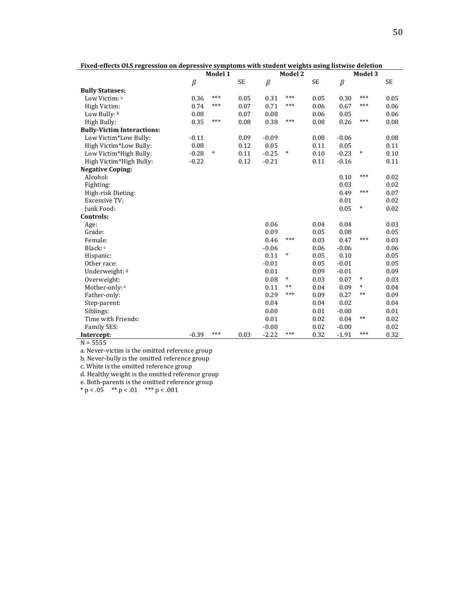| гілей-енесіз одз гедгеззіон он иергеззіvе зуніріоніз місії зійцені метдігіз изнід нэгмізе иегенон |         |         |           |         |                |           |         |                |           |
|---------------------------------------------------------------------------------------------------|---------|---------|-----------|---------|----------------|-----------|---------|----------------|-----------|
|                                                                                                   |         | Model 1 |           |         | <b>Model 2</b> |           |         | <b>Model 3</b> |           |
|                                                                                                   | $\beta$ |         | <b>SE</b> | $\beta$ |                | <b>SE</b> | $\beta$ |                | <b>SE</b> |
| <b>Bully Statuses:</b>                                                                            |         |         |           |         |                |           |         |                |           |
| Low Victim: a                                                                                     | 0.36    | ***     | 0.05      | 0.31    | $***$          | 0.05      | 0.30    | ***            | 0.05      |
| High Victim:                                                                                      | 0.74    | ***     | 0.07      | 0.71    | ***            | 0.06      | 0.67    | ***            | 0.06      |
| Low Bully: b                                                                                      | 0.08    |         | 0.07      | 0.08    |                | 0.06      | 0.05    |                | 0.06      |
| High Bully:                                                                                       | 0.35    | ***     | 0.08      | 0.38    | ***            | 0.08      | 0.26    | ***            | 0.08      |
| <b>Bully-Victim Interactions:</b>                                                                 |         |         |           |         |                |           |         |                |           |
| Low Victim*Low Bully:                                                                             | $-0.11$ |         | 0.09      | $-0.09$ |                | 0.08      | $-0.06$ |                | 0.08      |
| High Victim*Low Bully:                                                                            | 0.08    |         | 0.12      | 0.05    |                | 0.11      | 0.05    |                | 0.11      |
| Low Victim*High Bully:                                                                            | $-0.28$ | $\ast$  | 0.11      | $-0.25$ | *              | 0.10      | $-0.23$ | $\ast$         | 0.10      |
| High Victim*High Bully:                                                                           | $-0.22$ |         | 0.12      | $-0.21$ |                | 0.11      | $-0.16$ |                | 0.11      |
| <b>Negative Coping:</b>                                                                           |         |         |           |         |                |           |         |                |           |
| Alcohol:                                                                                          |         |         |           |         |                |           | 0.10    | ***            | 0.02      |
| Fighting:                                                                                         |         |         |           |         |                |           | 0.03    |                | 0.02      |
| High-risk Dieting:                                                                                |         |         |           |         |                |           | 0.49    | ***            | 0.07      |
| <b>Excessive TV:</b>                                                                              |         |         |           |         |                |           | 0.01    |                | 0.02      |
| Junk Food:                                                                                        |         |         |           |         |                |           | 0.05    | *              | 0.02      |
| Controls:                                                                                         |         |         |           |         |                |           |         |                |           |
| Age:                                                                                              |         |         |           | 0.06    |                | 0.04      | 0.04    |                | 0.03      |
| Grade:                                                                                            |         |         |           | 0.09    |                | 0.05      | 0.08    |                | 0.05      |
| Female:                                                                                           |         |         |           | 0.46    | ***            | 0.03      | 0.47    | ***            | 0.03      |
| Black: c                                                                                          |         |         |           | $-0.06$ |                | 0.06      | $-0.06$ |                | 0.06      |
| Hispanic:                                                                                         |         |         |           | 0.11    | $\ast$         | 0.05      | 0.10    |                | 0.05      |
| Other race:                                                                                       |         |         |           | $-0.01$ |                | 0.05      | $-0.01$ |                | 0.05      |
| Underweight: d                                                                                    |         |         |           | 0.01    |                | 0.09      | $-0.01$ |                | 0.09      |
| Overweight:                                                                                       |         |         |           | 0.08    | $\ast$         | 0.03      | 0.07    | *              | 0.03      |
| Mother-only: e                                                                                    |         |         |           | 0.11    | $***$          | 0.04      | 0.09    | $\ast$         | 0.04      |
| Father-only:                                                                                      |         |         |           | 0.29    | ***            | 0.09      | 0.27    | $***$          | 0.09      |
| Step-parent:                                                                                      |         |         |           | 0.04    |                | 0.04      | 0.02    |                | 0.04      |
| Siblings:                                                                                         |         |         |           | 0.00    |                | 0.01      | $-0.00$ |                | 0.01      |
| Time with Friends:                                                                                |         |         |           | 0.01    |                | 0.02      | 0.04    | $***$          | 0.02      |
| Family SES:                                                                                       |         |         |           | $-0.00$ |                | 0.02      | $-0.00$ |                | 0.02      |
| Intercept:                                                                                        | $-0.39$ | ***     | 0.03      | $-2.22$ | ***            | 0.32      | $-1.91$ | ***            | 0.32      |

Fixed-effects OLS regression on depressive symptoms with student weights using listwise deletion

 $\frac{m_{\text{c}}}{N}$  = 5555

a. Never-victim is the omitted reference group

b. Never-bully is the omitted reference group

c. White is the omitted reference group

d. Healthy weight is the omitted reference group

e. Both-parents is the omitted reference group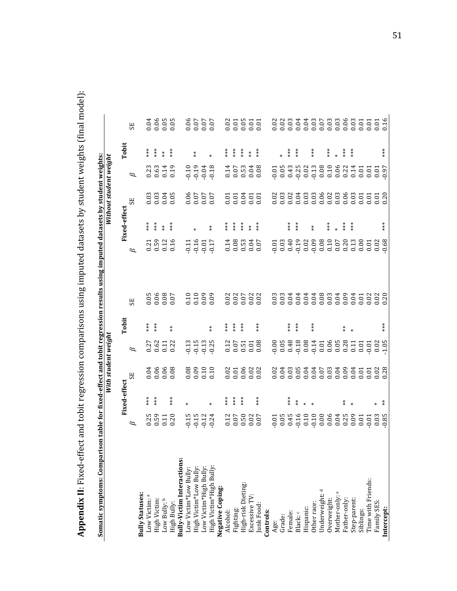Appendix II: Fixed-effect and tobit regression comparisons using imputed datasets by student weights (final model): **Appendix II**: Fixed-effect and tobit regression comparisons using imputed datasets by student weights (final model):

| $\overline{a}$<br>ׇ֚֘                 | ֧֖֧֧֦֧֧֧֦֧֧֦֧֧֧֦֧֧֧֧֧֧֪֧֧֧֧֧֧֧֧֛֪֪֧֧֧֛֪֛֪֧֛֪֪֧֛֚֚֚֚֚֚֚֚֚֝֕֓֕֓֕֓֕֓֝֬֝֬֝֬֝֬֝֬֝֬֓֬֝֬֓֬֝֬֝֬֝֬֬֬<br>Ŝ<br>١<br>i<br>i |
|---------------------------------------|-----------------------------------------------------------------------------------------------------------------|
| i<br>$\mathsf I$<br>$\mathbf{u}$<br>i | l<br>i<br>i                                                                                                     |
|                                       |                                                                                                                 |

|                                                                                                        |                                      |                     | With student weight        |                                      |                                                         |                                      |                                       |                                                       | Without student weight  |                                        |                                                                           |                               |
|--------------------------------------------------------------------------------------------------------|--------------------------------------|---------------------|----------------------------|--------------------------------------|---------------------------------------------------------|--------------------------------------|---------------------------------------|-------------------------------------------------------|-------------------------|----------------------------------------|---------------------------------------------------------------------------|-------------------------------|
|                                                                                                        |                                      | <b>Fixed-effect</b> |                            |                                      | <b>Tobit</b>                                            |                                      |                                       | Fixed-effect                                          |                         |                                        | Tobit                                                                     |                               |
|                                                                                                        | $\beta$                              |                     | 55                         | B                                    |                                                         | <b>SE</b>                            | 6                                     |                                                       | 5E                      | $\beta$                                |                                                                           | <b>SE</b>                     |
| <b>Bully Statuses:</b>                                                                                 |                                      |                     |                            |                                      |                                                         |                                      |                                       |                                                       |                         |                                        |                                                                           |                               |
| Low Victim: a                                                                                          |                                      | $**\ast$            |                            |                                      | $\begin{array}{cc} * & * \\ * & * \\ * & * \end{array}$ |                                      |                                       | $**\ast$                                              |                         |                                        | $**\ast$                                                                  |                               |
| High Victim:                                                                                           |                                      | $***$               |                            |                                      |                                                         |                                      |                                       | $***$                                                 |                         |                                        | $***$                                                                     |                               |
| Low Bully: b                                                                                           |                                      |                     |                            |                                      |                                                         |                                      |                                       | $*$                                                   |                         |                                        | $*$                                                                       |                               |
| High Bully:                                                                                            | $0.25$<br>$0.59$<br>$0.11$<br>$0.20$ | $***$               | $0.06$<br>0.06<br>0.00     | 0.27<br>0.62<br>0.11<br>0.22         | $\frac{*}{*}$                                           | 50.05<br>0.06<br>0.07                | 0.21<br>0.59<br>0.16                  | $**\ast$                                              | 0.03<br>0.03<br>0.00    | 0.23<br>0.63<br>0.14                   | $***$                                                                     |                               |
| Bully-Victim Interactions:                                                                             |                                      |                     |                            |                                      |                                                         |                                      |                                       |                                                       |                         |                                        |                                                                           |                               |
| Low Victim*Low Bully:                                                                                  |                                      |                     |                            |                                      |                                                         |                                      |                                       |                                                       |                         |                                        |                                                                           |                               |
|                                                                                                        |                                      |                     |                            |                                      |                                                         |                                      |                                       |                                                       |                         |                                        | $_{\rm *}^{\star}$                                                        |                               |
|                                                                                                        |                                      |                     |                            |                                      |                                                         |                                      |                                       |                                                       |                         |                                        |                                                                           |                               |
| High Victim*Low Bully:<br>Low Victim*High Bully:<br>High Victim*High Bully:                            | $0.15$<br>$0.124$<br>$0.24$          |                     | $0.08$<br>$0.10$<br>$0.10$ | 0.15<br>0.15<br>0.0.0                | $\stackrel{*}{*}$                                       | $0.10$<br>$0.00$<br>$0.00$           | $-0.11$<br>$-0.16$<br>$-0.17$         | $*$                                                   | 70.05<br>20.07<br>20.07 | $0.19$<br>$0.19$<br>$0.18$<br>$0.19$   |                                                                           | $0.06$<br>0.07<br>0.07        |
| Negative Coping:                                                                                       |                                      |                     |                            |                                      |                                                         |                                      |                                       |                                                       |                         |                                        |                                                                           |                               |
|                                                                                                        |                                      | $**\ast$            |                            |                                      | $**\atop{*}{*}$                                         |                                      |                                       | $**\ast$                                              |                         |                                        | $**\ast$                                                                  |                               |
|                                                                                                        |                                      | $**\atop{*}$        |                            |                                      | $**\atop{*}$                                            |                                      |                                       | $***$                                                 |                         |                                        | $\begin{array}{cc} \ast & \ast \\ \ast & \ast \\ \ast & \ast \end{array}$ |                               |
| Alcohol:<br>Fighting:<br>High-risk Dieting:                                                            |                                      | $* \underset{*}{*}$ |                            |                                      | $**\atop$                                               |                                      |                                       | $*$<br>$*$                                            |                         |                                        |                                                                           |                               |
| Excessive TV                                                                                           |                                      |                     |                            |                                      |                                                         |                                      |                                       | $*$                                                   |                         |                                        | $*$                                                                       |                               |
| Junk Food:                                                                                             | $0.12$<br>$0.50$<br>$0.02$<br>$0.07$ | $**\atop{*}$        |                            | $0.17$<br>$0.51$<br>$0.03$<br>$0.08$ | $**\atop**$                                             | $0.02$<br>$0.07$<br>$0.02$<br>$0.02$ | $0.14$<br>$0.053$<br>$0.05$<br>$0.07$ | $**\atop{*}$                                          |                         | $0.14$<br>$0.030$<br>$0.030$<br>$0.08$ | $***$                                                                     | 0.01<br>0.01<br>0.000<br>0.00 |
| Controls:                                                                                              |                                      |                     |                            |                                      |                                                         |                                      |                                       |                                                       |                         |                                        |                                                                           |                               |
| Age:                                                                                                   |                                      |                     |                            |                                      |                                                         |                                      |                                       |                                                       |                         |                                        |                                                                           |                               |
| Grade:                                                                                                 |                                      |                     |                            |                                      |                                                         |                                      |                                       |                                                       |                         |                                        |                                                                           |                               |
|                                                                                                        |                                      | $***$               |                            |                                      | $***$                                                   |                                      |                                       | $***$                                                 |                         |                                        |                                                                           |                               |
| Female:<br>Black: c                                                                                    |                                      | $\stackrel{*}{*}$   |                            |                                      | $***$                                                   |                                      |                                       | $\begin{smallmatrix} * \ * \ * \ * \end{smallmatrix}$ |                         |                                        | * *<br>* *<br>* *                                                         |                               |
|                                                                                                        |                                      |                     |                            |                                      |                                                         |                                      |                                       |                                                       |                         |                                        |                                                                           |                               |
|                                                                                                        |                                      |                     |                            |                                      | $**\ast$                                                |                                      |                                       | $*$                                                   |                         |                                        | $**\atop{*}$                                                              |                               |
|                                                                                                        |                                      |                     |                            |                                      |                                                         |                                      |                                       |                                                       |                         |                                        |                                                                           |                               |
|                                                                                                        |                                      |                     |                            |                                      |                                                         |                                      |                                       | $*$<br>$*$                                            |                         |                                        | *<br>*<br>* *                                                             |                               |
|                                                                                                        |                                      |                     |                            |                                      |                                                         |                                      |                                       | $\ast$                                                |                         |                                        |                                                                           |                               |
| Hispanic:<br>Other race:<br>Underweight: <sup>d</sup><br>Overweight:<br>Mother-only: e<br>Father-only: |                                      |                     |                            |                                      | $\stackrel{*}{*}$                                       |                                      |                                       | $***$                                                 |                         |                                        | $**\atop **$                                                              |                               |
| Step-parent:                                                                                           |                                      |                     |                            |                                      |                                                         |                                      |                                       | $**\ast$                                              |                         |                                        | $**\atop **$                                                              |                               |
| Siblings:                                                                                              |                                      |                     |                            |                                      |                                                         |                                      |                                       |                                                       |                         |                                        |                                                                           |                               |
| Time with Friends:                                                                                     |                                      |                     |                            |                                      |                                                         |                                      |                                       |                                                       |                         |                                        |                                                                           |                               |
| Family SES:                                                                                            |                                      |                     |                            |                                      |                                                         |                                      |                                       |                                                       |                         |                                        |                                                                           |                               |
| Intercept:                                                                                             |                                      |                     |                            |                                      | $***$                                                   |                                      |                                       | $***$                                                 |                         |                                        | $***$                                                                     |                               |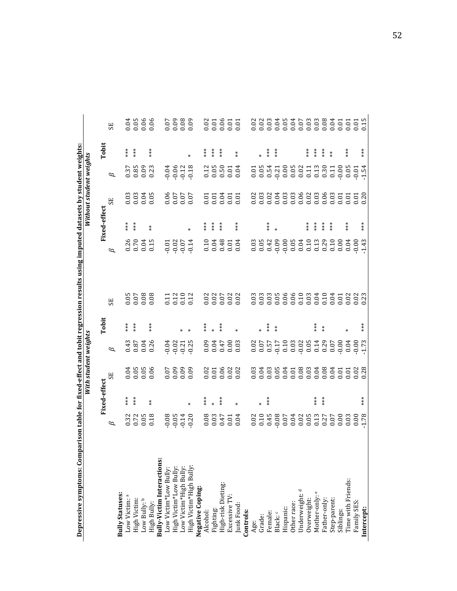| Depressive symptoms: Comp  |                               |              |                              |                                      |               |                                                     | parison table for fixed-effect and tobit regression results using imputed datasets by student weights: |              |                         |                                                     |            |                       |
|----------------------------|-------------------------------|--------------|------------------------------|--------------------------------------|---------------|-----------------------------------------------------|--------------------------------------------------------------------------------------------------------|--------------|-------------------------|-----------------------------------------------------|------------|-----------------------|
|                            |                               |              | With student weights         |                                      |               |                                                     |                                                                                                        |              | Without student weights |                                                     |            |                       |
|                            |                               | Fixed-effect |                              |                                      | Tobit         |                                                     |                                                                                                        | Fixed-effect |                         |                                                     | Tobit      |                       |
|                            | B                             |              | SE                           | $\varnothing$                        |               | SE <sub>1</sub>                                     | $\beta$                                                                                                |              | 55                      | $\varnothing$                                       |            | 55                    |
| <b>Bully Statuses:</b>     |                               |              |                              |                                      |               |                                                     |                                                                                                        |              |                         |                                                     |            |                       |
| Low Victim: a              |                               | $***$        |                              |                                      | $***$         |                                                     |                                                                                                        | $***$        |                         |                                                     | $***$      |                       |
| High Victim:               | 0.32<br>0.72                  | $***$        |                              |                                      | ***           |                                                     | 0.26                                                                                                   | $***$        |                         |                                                     | $***$      |                       |
| Low Bully: b               | $0.05$<br>$0.18$              |              | 0.05<br>0.05<br>0.00         | $0.870$<br>$0.040$<br>$0.040$        |               | 0.05<br>0.07<br>0.08                                | 0.04                                                                                                   |              | 0.03<br>0.03<br>0.00    | 37<br>380<br>000<br>000                             |            | 0.04<br>0.06<br>0.06  |
| High Bully:                |                               | $*$          |                              |                                      | $***$         |                                                     | 0.15                                                                                                   | $*$          |                         |                                                     | $***$      |                       |
| Bully-Victim Interactions: |                               |              |                              |                                      |               |                                                     |                                                                                                        |              |                         |                                                     |            |                       |
| Low Victim*Low Bully       |                               |              |                              | $-0.04$                              |               |                                                     |                                                                                                        |              |                         |                                                     |            |                       |
| High Victim*Low Bully      |                               |              |                              | $-0.02$                              |               | 011<br>012<br>012<br>012                            |                                                                                                        |              |                         |                                                     |            |                       |
| Low Victim*High Bully      |                               |              |                              |                                      |               |                                                     |                                                                                                        |              |                         |                                                     |            |                       |
| High Victim*High Bully:    | 0.05<br>0.05<br>0.07<br>0.07  | ₩            | 60.09<br>0.00<br>0.00        | $-0.21$                              |               |                                                     | $0.01$<br>$0.02$<br>$0.07$<br>$0.07$<br>$0.04$                                                         |              | 70.00<br>2010<br>2010   | $0.04$<br>$0.02$<br>$0.13$<br>$0.07$<br>$0.09$      |            | 60.09<br>0.00<br>0.00 |
| Negative Coping:           |                               |              |                              |                                      |               |                                                     |                                                                                                        |              |                         |                                                     |            |                       |
| Alcohol:                   |                               |              |                              |                                      | $***$         |                                                     |                                                                                                        | $***$        |                         |                                                     | $***$      |                       |
| Fighting:                  |                               | $\ast$       |                              |                                      |               |                                                     | $0.10$<br>$0.04$                                                                                       | $***$        |                         |                                                     | $***$      |                       |
| High-risk Dieting:         |                               | $***$        |                              |                                      | $***$         | $\begin{array}{c} 0.02 \\ 0.07 \\ 0.07 \end{array}$ | 0.48                                                                                                   | $***$        |                         |                                                     | ***        |                       |
| Excessive TV               | 0.03<br>0.047<br>0.00<br>0.00 |              |                              |                                      |               |                                                     |                                                                                                        |              |                         |                                                     |            |                       |
| Junk Food:                 |                               |              | 0.01<br>0.06<br>0.02<br>0.02 |                                      |               | $0.02$<br>$0.02$                                    | $0.01$<br>$0.04$                                                                                       | $***$        | 55855<br>55555          |                                                     | $*$        | 83855<br>000000       |
| Controls:                  |                               |              |                              |                                      |               |                                                     |                                                                                                        |              |                         |                                                     |            |                       |
| Age:                       |                               |              |                              |                                      |               |                                                     |                                                                                                        |              |                         |                                                     |            |                       |
| Grade:                     |                               | $\ast$       |                              |                                      |               |                                                     | $\begin{array}{c} 0.03 \\ 0.05 \end{array}$                                                            |              |                         |                                                     |            |                       |
| Female:                    |                               | $***$        |                              |                                      | ***           |                                                     | 0.42                                                                                                   | ***          |                         |                                                     | $***$      |                       |
| Black: c                   |                               |              |                              | $0.07$<br>$0.57$<br>$0.57$<br>$0.17$ | $\frac{*}{*}$ |                                                     | $-0.09$                                                                                                |              |                         |                                                     | $**\atop*$ |                       |
| Hispanic:                  |                               |              |                              | $0.10$<br>$0.03$<br>$0.02$           |               |                                                     | $-0.00$                                                                                                |              |                         |                                                     |            |                       |
| Other race:                |                               |              |                              |                                      |               |                                                     | $0.05$<br>0.04                                                                                         |              |                         |                                                     |            |                       |
| Underweight: <sup>d</sup>  |                               |              |                              |                                      |               |                                                     |                                                                                                        |              |                         |                                                     |            |                       |
| Overweight:                |                               |              |                              | 0.05                                 |               |                                                     | 0.10                                                                                                   | ***          |                         |                                                     | ***        |                       |
| Mother-only: e             |                               | $***$        |                              | 0.14                                 | ***           |                                                     | $0.13$<br>$0.29$                                                                                       | $***$        |                         | $\begin{array}{c} 0.11 \\ 0.30 \\ 0.11 \end{array}$ | $***$      |                       |
| Father-only:               |                               | $***$        |                              | 0.29                                 | $*$           |                                                     |                                                                                                        | $**\ast$     |                         |                                                     | $**\ast$   |                       |
| Step-parent:               |                               |              |                              | 0.07                                 |               |                                                     | 0.10                                                                                                   | $**\ast$     |                         |                                                     | $*$        |                       |
| Siblings:                  |                               |              |                              | $-0.00$                              |               |                                                     | 0.00                                                                                                   |              |                         |                                                     |            |                       |
| Time with Friends:         |                               |              |                              | 0.04                                 |               |                                                     | 0.04                                                                                                   | $***$        |                         |                                                     | $***$      |                       |
| Family SES:                |                               |              |                              | $-0.00$<br>$-1.73$                   |               |                                                     | $-0.00$<br>$-1.43$                                                                                     |              |                         | $-0.01$<br>$-1.54$                                  |            |                       |
| Intercept:                 |                               | $***$        |                              |                                      | $***$         |                                                     |                                                                                                        | ***          |                         |                                                     | ***        |                       |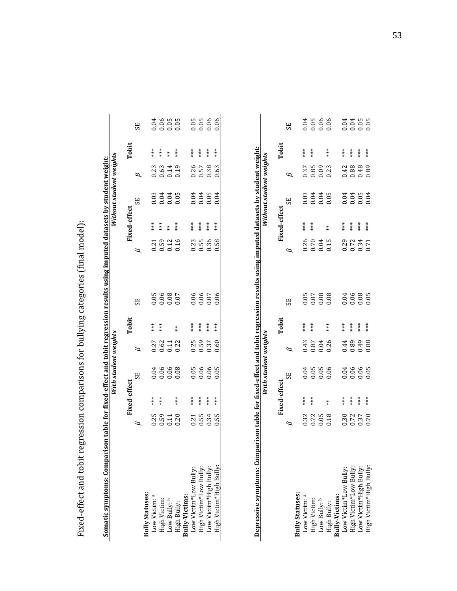Fixed-effect and tobit regression comparisons for bullying categories (final model): Fixed-effect and tobit regression comparisons for bullying categories (final model):

|                                                               |                      |              | With student weights                      |                      |                   |                      |                              |              | Without student weights |                              |               |                  |
|---------------------------------------------------------------|----------------------|--------------|-------------------------------------------|----------------------|-------------------|----------------------|------------------------------|--------------|-------------------------|------------------------------|---------------|------------------|
|                                                               |                      | Fixed-effect |                                           |                      | Tobit             |                      |                              | Fixed-effect |                         |                              | Tobit         |                  |
|                                                               |                      |              | SE                                        |                      |                   | 55                   |                              |              | SE                      |                              |               | SE               |
| <b>Sully Statuses:</b>                                        |                      |              |                                           |                      |                   |                      |                              |              |                         |                              |               |                  |
| Low Victim: a                                                 |                      | $***$        |                                           |                      | $***$             |                      |                              | $***$        |                         |                              | $***$         |                  |
|                                                               | $0.25$<br>$0.59$     | $**$         |                                           |                      | $***$             |                      |                              | $**\ast$     |                         |                              | $***$         |                  |
| High Victim:<br>Low Bully: b                                  | 0.11                 |              | 0.06<br>0.06<br>0.00                      | 0.27<br>0.62<br>0.32 |                   | 0.05<br>0.06<br>0.07 | $0.501$<br>$0.510$<br>$0.50$ | $*$          | 0.03<br>0.05<br>0.00    | $0.0140$<br>$0.0140$         | $\frac{*}{*}$ |                  |
| High Bully:<br><b>Bully-Victims:</b><br>Low Victim*Low Bully: | 0.20                 | $***$        |                                           |                      | $\stackrel{*}{*}$ |                      |                              | $***$        |                         |                              | ***           |                  |
|                                                               |                      |              |                                           |                      |                   |                      |                              |              |                         |                              |               |                  |
|                                                               |                      | ***          |                                           |                      | $***$             |                      |                              | $***$        |                         |                              | ***           |                  |
|                                                               | 0.31<br>0.55<br>0.34 | $***$        | 5<br>8<br>0<br>0<br>0<br>0<br>0<br>0<br>0 | 0.35<br>0.59<br>0.37 | $**\ast$          | 0.06<br>0.06<br>0.07 | $0.55$<br>$0.56$             | $**\ast$     |                         | $0.580$<br>$0.580$<br>$0.50$ | $***$         | 8<br>0.06<br>0.0 |
| High Victim*Low Bully:<br>Low Victim*High Bully:              |                      | $***$        |                                           |                      | ***               |                      |                              | $***$        |                         |                              | $***$         |                  |
| High Victim*High Bully:                                       | 0.55                 | $***$        |                                           | 0.60                 | ***               | 0.06                 | 0.58                         | $***$        |                         |                              | ***           | 0.06             |

| i                               | í           |
|---------------------------------|-------------|
| i                               | ٠,          |
| ĺ<br>I<br>ļ<br>ı<br>i<br>֠<br>١ | ١<br>l<br>j |

|                                                                                                                                                                |                                                              | ixed-effect                   |                                     |                            | <b>Tobit</b>                  |    |                                             | ixed-effect                                           |                                            | <b>Tobit</b> |                                           |
|----------------------------------------------------------------------------------------------------------------------------------------------------------------|--------------------------------------------------------------|-------------------------------|-------------------------------------|----------------------------|-------------------------------|----|---------------------------------------------|-------------------------------------------------------|--------------------------------------------|--------------|-------------------------------------------|
|                                                                                                                                                                |                                                              |                               | 55                                  |                            |                               | SE |                                             |                                                       | SE                                         |              | ЗS                                        |
|                                                                                                                                                                |                                                              |                               |                                     |                            |                               |    |                                             |                                                       |                                            |              |                                           |
|                                                                                                                                                                |                                                              | $**\atop$                     |                                     |                            | $**\underset{**}{*}$          |    |                                             |                                                       |                                            |              |                                           |
| <b>Bully Statuses:</b><br>Low Victim: <sup>a</sup><br>High Victim:<br>Low Bully: <sup>b</sup><br>High Bully:<br><b>Bully-Victims:</b><br>Low Victim*Low Bully: | $\begin{array}{c} 0.32 \\ 0.72 \\ 0.018 \\ 0.18 \end{array}$ | $***$                         | 0.000<br>0.000 0.000<br>0.000 0.000 | $0.87$<br>$0.04$<br>$0.26$ |                               |    | 0.70<br>0.704<br>0.000 0.744<br>0.000 0.000 | $\begin{array}{cc} * & * \ * & * \ * & * \end{array}$ | 0.03<br>0.04<br>0.000 0.000<br>0.000 0.000 |              | 0.000 0.000<br>0.000 0.000<br>0.000 0.000 |
|                                                                                                                                                                |                                                              |                               |                                     |                            |                               |    |                                             |                                                       |                                            |              |                                           |
|                                                                                                                                                                |                                                              | $*$                           |                                     |                            | $*$<br>$*$                    |    |                                             | $*$                                                   |                                            |              |                                           |
|                                                                                                                                                                |                                                              |                               |                                     |                            |                               |    |                                             |                                                       |                                            |              |                                           |
|                                                                                                                                                                |                                                              |                               |                                     |                            |                               |    |                                             |                                                       |                                            |              |                                           |
| High Victim*Low Bully:<br>Low Victim*High Bully:<br>High Victim*High Bully:                                                                                    | 0.37<br>0.37<br>0.50                                         | * * * *<br>* * * *<br>* * * * |                                     | 144<br>0.89<br>0.88        | * * * *<br>* * * *<br>* * * * |    |                                             | * * * *<br>* * * *<br>* * * *                         |                                            |              |                                           |
|                                                                                                                                                                |                                                              |                               |                                     |                            |                               |    |                                             |                                                       |                                            |              |                                           |
|                                                                                                                                                                |                                                              |                               |                                     |                            |                               |    |                                             |                                                       |                                            |              |                                           |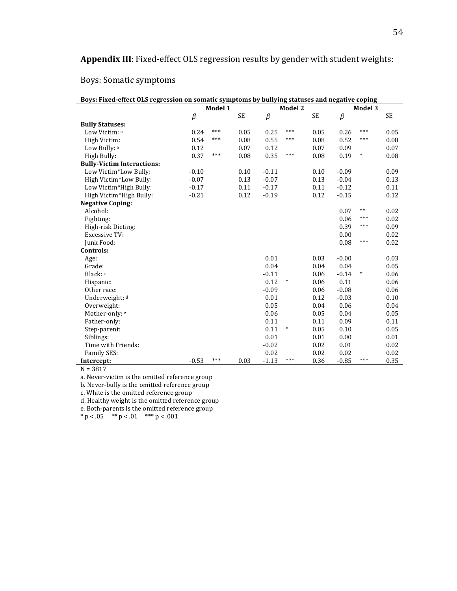# Appendix III: Fixed-effect OLS regression results by gender with student weights:

# Boys: Somatic symptoms

| Boys: Fixed-effect OLS regression on somatic symptoms by bullying statuses and negative coping |         |         |           |         |                |      |         |         |           |
|------------------------------------------------------------------------------------------------|---------|---------|-----------|---------|----------------|------|---------|---------|-----------|
|                                                                                                |         | Model 1 |           |         | <b>Model 2</b> |      |         | Model 3 |           |
|                                                                                                | $\beta$ |         | <b>SE</b> | $\beta$ |                | SE   | $\beta$ |         | <b>SE</b> |
| <b>Bully Statuses:</b>                                                                         |         |         |           |         |                |      |         |         |           |
| Low Victim: a                                                                                  | 0.24    | ***     | 0.05      | 0.25    | $***$          | 0.05 | 0.26    | $***$   | 0.05      |
| High Victim:                                                                                   | 0.54    | ***     | 0.08      | 0.55    | $***$          | 0.08 | 0.52    | ***     | 0.08      |
| Low Bully: b                                                                                   | 0.12    |         | 0.07      | 0.12    |                | 0.07 | 0.09    |         | 0.07      |
| High Bully:                                                                                    | 0.37    | $***$   | 0.08      | 0.35    | $***$          | 0.08 | 0.19    | $\ast$  | 0.08      |
| <b>Bully-Victim Interactions:</b>                                                              |         |         |           |         |                |      |         |         |           |
| Low Victim*Low Bully:                                                                          | $-0.10$ |         | 0.10      | $-0.11$ |                | 0.10 | $-0.09$ |         | 0.09      |
| High Victim*Low Bully:                                                                         | $-0.07$ |         | 0.13      | $-0.07$ |                | 0.13 | $-0.04$ |         | 0.13      |
| Low Victim*High Bully:                                                                         | $-0.17$ |         | 0.11      | $-0.17$ |                | 0.11 | $-0.12$ |         | 0.11      |
| High Victim*High Bully:                                                                        | $-0.21$ |         | 0.12      | $-0.19$ |                | 0.12 | $-0.15$ |         | 0.12      |
| <b>Negative Coping:</b>                                                                        |         |         |           |         |                |      |         |         |           |
| Alcohol:                                                                                       |         |         |           |         |                |      | 0.07    | $**$    | 0.02      |
| Fighting:                                                                                      |         |         |           |         |                |      | 0.06    | ***     | 0.02      |
| High-risk Dieting:                                                                             |         |         |           |         |                |      | 0.39    | ***     | 0.09      |
| <b>Excessive TV:</b>                                                                           |         |         |           |         |                |      | 0.00    |         | 0.02      |
| Junk Food:                                                                                     |         |         |           |         |                |      | 0.08    | $***$   | 0.02      |
| Controls:                                                                                      |         |         |           |         |                |      |         |         |           |
| Age:                                                                                           |         |         |           | 0.01    |                | 0.03 | $-0.00$ |         | 0.03      |
| Grade:                                                                                         |         |         |           | 0.04    |                | 0.04 | 0.04    |         | 0.05      |
| Black: c                                                                                       |         |         |           | $-0.11$ |                | 0.06 | $-0.14$ | $\ast$  | 0.06      |
| Hispanic:                                                                                      |         |         |           | 0.12    | $\ast$         | 0.06 | 0.11    |         | 0.06      |
| Other race:                                                                                    |         |         |           | $-0.09$ |                | 0.06 | $-0.08$ |         | 0.06      |
| Underweight: d                                                                                 |         |         |           | 0.01    |                | 0.12 | $-0.03$ |         | 0.10      |
| Overweight:                                                                                    |         |         |           | 0.05    |                | 0.04 | 0.06    |         | 0.04      |
| Mother-only: e                                                                                 |         |         |           | 0.06    |                | 0.05 | 0.04    |         | 0.05      |
| Father-only:                                                                                   |         |         |           | 0.11    |                | 0.11 | 0.09    |         | 0.11      |
| Step-parent:                                                                                   |         |         |           | 0.11    | $\ast$         | 0.05 | 0.10    |         | 0.05      |
| Siblings:                                                                                      |         |         |           | 0.01    |                | 0.01 | 0.00    |         | 0.01      |
| Time with Friends:                                                                             |         |         |           | $-0.02$ |                | 0.02 | 0.01    |         | 0.02      |
| Family SES:                                                                                    |         |         |           | 0.02    |                | 0.02 | 0.02    |         | 0.02      |
| Intercept:                                                                                     | $-0.53$ | ***     | 0.03      | $-1.13$ | ***            | 0.36 | $-0.85$ | ***     | 0.35      |

 $N = 3817$ 

a. Never-victim is the omitted reference group

b. Never-bully is the omitted reference group

c. White is the omitted reference group

d. Healthy weight is the omitted reference group

e. Both-parents is the omitted reference group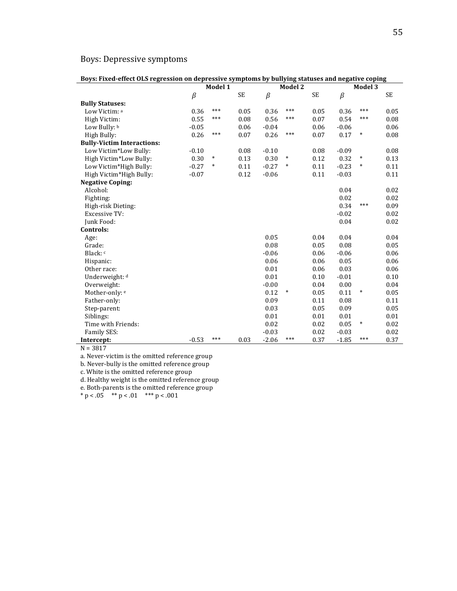# Boys: Depressive symptoms

| Boys: Fixed-effect OLS regression on depressive symptoms by bullying statuses and negative coping |         |         |           |         |         |           |         |         |           |
|---------------------------------------------------------------------------------------------------|---------|---------|-----------|---------|---------|-----------|---------|---------|-----------|
|                                                                                                   |         | Model 1 |           |         | Model 2 |           |         | Model 3 |           |
|                                                                                                   | $\beta$ |         | <b>SE</b> | $\beta$ |         | <b>SE</b> | $\beta$ |         | <b>SE</b> |
| <b>Bully Statuses:</b>                                                                            |         |         |           |         |         |           |         |         |           |
| Low Victim: a                                                                                     | 0.36    | ***     | 0.05      | 0.36    | ***     | 0.05      | 0.36    | ***     | 0.05      |
| High Victim:                                                                                      | 0.55    | ***     | 0.08      | 0.56    | $***$   | 0.07      | 0.54    | ***     | 0.08      |
| Low Bully: b                                                                                      | $-0.05$ |         | 0.06      | $-0.04$ |         | 0.06      | $-0.06$ |         | 0.06      |
| High Bully:                                                                                       | 0.26    | ***     | 0.07      | 0.26    | $***$   | 0.07      | 0.17    | $\ast$  | 0.08      |
| <b>Bully-Victim Interactions:</b>                                                                 |         |         |           |         |         |           |         |         |           |
| Low Victim*Low Bully:                                                                             | $-0.10$ |         | 0.08      | $-0.10$ |         | 0.08      | $-0.09$ |         | 0.08      |
| High Victim*Low Bully:                                                                            | 0.30    | $\ast$  | 0.13      | 0.30    | $\ast$  | 0.12      | 0.32    | $\ast$  | 0.13      |
| Low Victim*High Bully:                                                                            | $-0.27$ | $\ast$  | 0.11      | $-0.27$ | *       | 0.11      | $-0.23$ | $\ast$  | 0.11      |
| High Victim*High Bully:                                                                           | $-0.07$ |         | 0.12      | $-0.06$ |         | 0.11      | $-0.03$ |         | 0.11      |
| <b>Negative Coping:</b>                                                                           |         |         |           |         |         |           |         |         |           |
| Alcohol:                                                                                          |         |         |           |         |         |           | 0.04    |         | 0.02      |
| Fighting:                                                                                         |         |         |           |         |         |           | 0.02    |         | 0.02      |
| High-risk Dieting:                                                                                |         |         |           |         |         |           | 0.34    | ***     | 0.09      |
| <b>Excessive TV:</b>                                                                              |         |         |           |         |         |           | $-0.02$ |         | 0.02      |
| Junk Food:                                                                                        |         |         |           |         |         |           | 0.04    |         | 0.02      |
| Controls:                                                                                         |         |         |           |         |         |           |         |         |           |
| Age:                                                                                              |         |         |           | 0.05    |         | 0.04      | 0.04    |         | 0.04      |
| Grade:                                                                                            |         |         |           | 0.08    |         | 0.05      | 0.08    |         | 0.05      |
| Black: c                                                                                          |         |         |           | $-0.06$ |         | 0.06      | $-0.06$ |         | 0.06      |
| Hispanic:                                                                                         |         |         |           | 0.06    |         | 0.06      | 0.05    |         | 0.06      |
| Other race:                                                                                       |         |         |           | 0.01    |         | 0.06      | 0.03    |         | 0.06      |
| Underweight: d                                                                                    |         |         |           | 0.01    |         | 0.10      | $-0.01$ |         | 0.10      |
| Overweight:                                                                                       |         |         |           | $-0.00$ |         | 0.04      | 0.00    |         | 0.04      |
| Mother-only: e                                                                                    |         |         |           | 0.12    | $\ast$  | 0.05      | 0.11    | $\ast$  | 0.05      |
| Father-only:                                                                                      |         |         |           | 0.09    |         | 0.11      | 0.08    |         | 0.11      |
| Step-parent:                                                                                      |         |         |           | 0.03    |         | 0.05      | 0.09    |         | 0.05      |
| Siblings:                                                                                         |         |         |           | 0.01    |         | 0.01      | 0.01    |         | 0.01      |
| Time with Friends:                                                                                |         |         |           | 0.02    |         | 0.02      | 0.05    | $\ast$  | 0.02      |
| Family SES:                                                                                       |         |         |           | $-0.03$ |         | 0.02      | $-0.03$ |         | 0.02      |
| Intercept:                                                                                        | $-0.53$ | ***     | 0.03      | $-2.06$ | ***     | 0.37      | $-1.85$ | ***     | 0.37      |

 $N = 3817$ 

a. Never-victim is the omitted reference group

b. Never-bully is the omitted reference group

c. White is the omitted reference group

d. Healthy weight is the omitted reference group

e. Both-parents is the omitted reference group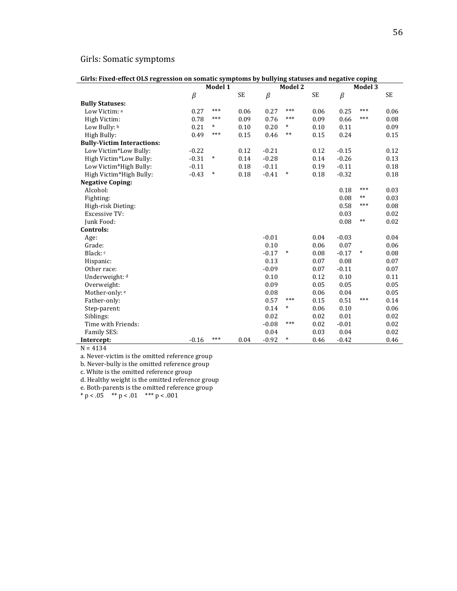# Girls: Somatic symptoms

| Girls: Fixed-effect OLS regression on somatic symptoms by bullying statuses and negative coping |         |         |      |         |         |           |         |         |      |
|-------------------------------------------------------------------------------------------------|---------|---------|------|---------|---------|-----------|---------|---------|------|
|                                                                                                 |         | Model 1 |      |         | Model 2 |           |         | Model 3 |      |
|                                                                                                 | $\beta$ |         | SE   | $\beta$ |         | <b>SE</b> | $\beta$ |         | SE   |
| <b>Bully Statuses:</b>                                                                          |         |         |      |         |         |           |         |         |      |
| Low Victim: a                                                                                   | 0.27    | $***$   | 0.06 | 0.27    | $***$   | 0.06      | 0.25    | ***     | 0.06 |
| High Victim:                                                                                    | 0.78    | $***$   | 0.09 | 0.76    | $***$   | 0.09      | 0.66    | ***     | 0.08 |
| Low Bully: b                                                                                    | 0.21    | $\ast$  | 0.10 | 0.20    | $\ast$  | 0.10      | 0.11    |         | 0.09 |
| High Bully:                                                                                     | 0.49    | ***     | 0.15 | 0.46    | $***$   | 0.15      | 0.24    |         | 0.15 |
| <b>Bully-Victim Interactions:</b>                                                               |         |         |      |         |         |           |         |         |      |
| Low Victim*Low Bully:                                                                           | $-0.22$ |         | 0.12 | $-0.21$ |         | 0.12      | $-0.15$ |         | 0.12 |
| High Victim*Low Bully:                                                                          | $-0.31$ | $\ast$  | 0.14 | $-0.28$ |         | 0.14      | $-0.26$ |         | 0.13 |
| Low Victim*High Bully:                                                                          | $-0.11$ |         | 0.18 | $-0.11$ |         | 0.19      | $-0.11$ |         | 0.18 |
| High Victim*High Bully:                                                                         | $-0.43$ | $\ast$  | 0.18 | $-0.41$ | $\ast$  | 0.18      | $-0.32$ |         | 0.18 |
| <b>Negative Coping:</b>                                                                         |         |         |      |         |         |           |         |         |      |
| Alcohol:                                                                                        |         |         |      |         |         |           | 0.18    | ***     | 0.03 |
| Fighting:                                                                                       |         |         |      |         |         |           | 0.08    | $***$   | 0.03 |
| High-risk Dieting:                                                                              |         |         |      |         |         |           | 0.58    | ***     | 0.08 |
| <b>Excessive TV:</b>                                                                            |         |         |      |         |         |           | 0.03    |         | 0.02 |
| Junk Food:                                                                                      |         |         |      |         |         |           | 0.08    | $**$    | 0.02 |
| Controls:                                                                                       |         |         |      |         |         |           |         |         |      |
| Age:                                                                                            |         |         |      | $-0.01$ |         | 0.04      | $-0.03$ |         | 0.04 |
| Grade:                                                                                          |         |         |      | 0.10    |         | 0.06      | 0.07    |         | 0.06 |
| Black: c                                                                                        |         |         |      | $-0.17$ | $\ast$  | 0.08      | $-0.17$ | $\ast$  | 0.08 |
| Hispanic:                                                                                       |         |         |      | 0.13    |         | 0.07      | 0.08    |         | 0.07 |
| Other race:                                                                                     |         |         |      | $-0.09$ |         | 0.07      | $-0.11$ |         | 0.07 |
| Underweight: d                                                                                  |         |         |      | 0.10    |         | 0.12      | 0.10    |         | 0.11 |
| Overweight:                                                                                     |         |         |      | 0.09    |         | 0.05      | 0.05    |         | 0.05 |
| Mother-only: e                                                                                  |         |         |      | 0.08    |         | 0.06      | 0.04    |         | 0.05 |
| Father-only:                                                                                    |         |         |      | 0.57    | $***$   | 0.15      | 0.51    | $***$   | 0.14 |
| Step-parent:                                                                                    |         |         |      | 0.14    | $\ast$  | 0.06      | 0.10    |         | 0.06 |
| Siblings:                                                                                       |         |         |      | 0.02    |         | 0.02      | 0.01    |         | 0.02 |
| Time with Friends:                                                                              |         |         |      | $-0.08$ | $***$   | 0.02      | $-0.01$ |         | 0.02 |
| Family SES:                                                                                     |         |         |      | 0.04    |         | 0.03      | 0.04    |         | 0.02 |
| Intercept:                                                                                      | $-0.16$ | ***     | 0.04 | $-0.92$ | $\ast$  | 0.46      | $-0.42$ |         | 0.46 |

 $N = 4134$ 

a. Never-victim is the omitted reference group

b. Never-bully is the omitted reference group

c. White is the omitted reference group

d. Healthy weight is the omitted reference group

e. Both-parents is the omitted reference group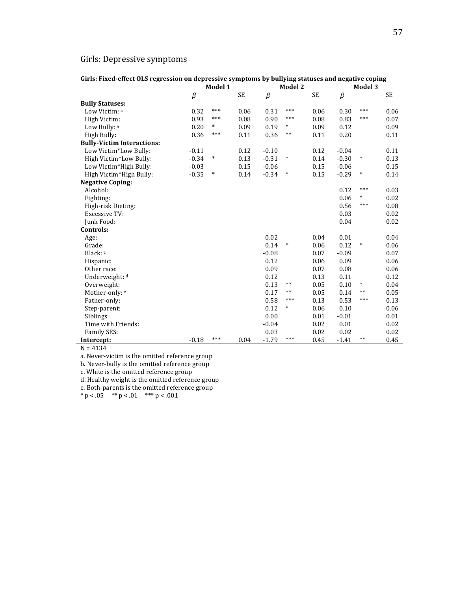# Girls: Depressive symptoms

| Girls: Fixed-effect OLS regression on depressive symptoms by bullying statuses and negative coping |         |         |      |         |         |      |         |         |      |
|----------------------------------------------------------------------------------------------------|---------|---------|------|---------|---------|------|---------|---------|------|
|                                                                                                    |         | Model 1 |      |         | Model 2 |      |         | Model 3 |      |
|                                                                                                    | $\beta$ |         | SE   | $\beta$ |         | SE   | $\beta$ |         | SE   |
| <b>Bully Statuses:</b>                                                                             |         |         |      |         |         |      |         |         |      |
| Low Victim: a                                                                                      | 0.32    | ***     | 0.06 | 0.31    | ***     | 0.06 | 0.30    | ***     | 0.06 |
| High Victim:                                                                                       | 0.93    | ***     | 0.08 | 0.90    | ***     | 0.08 | 0.83    | ***     | 0.07 |
| Low Bully: b                                                                                       | 0.20    | $\ast$  | 0.09 | 0.19    | $\ast$  | 0.09 | 0.12    |         | 0.09 |
| High Bully:                                                                                        | 0.36    | ***     | 0.11 | 0.36    | $***$   | 0.11 | 0.20    |         | 0.11 |
| <b>Bully-Victim Interactions:</b>                                                                  |         |         |      |         |         |      |         |         |      |
| Low Victim*Low Bully:                                                                              | $-0.11$ |         | 0.12 | $-0.10$ |         | 0.12 | $-0.04$ |         | 0.11 |
| High Victim*Low Bully:                                                                             | $-0.34$ | $\ast$  | 0.13 | $-0.31$ | $\ast$  | 0.14 | $-0.30$ | $\ast$  | 0.13 |
| Low Victim*High Bully:                                                                             | $-0.03$ |         | 0.15 | $-0.06$ |         | 0.15 | $-0.06$ |         | 0.15 |
| High Victim*High Bully:                                                                            | $-0.35$ | $\ast$  | 0.14 | $-0.34$ | *       | 0.15 | $-0.29$ | $\ast$  | 0.14 |
| <b>Negative Coping:</b>                                                                            |         |         |      |         |         |      |         |         |      |
| Alcohol:                                                                                           |         |         |      |         |         |      | 0.12    | ***     | 0.03 |
| Fighting:                                                                                          |         |         |      |         |         |      | 0.06    | $\ast$  | 0.02 |
| High-risk Dieting:                                                                                 |         |         |      |         |         |      | 0.56    | ***     | 0.08 |
| <b>Excessive TV:</b>                                                                               |         |         |      |         |         |      | 0.03    |         | 0.02 |
| Junk Food:                                                                                         |         |         |      |         |         |      | 0.04    |         | 0.02 |
| Controls:                                                                                          |         |         |      |         |         |      |         |         |      |
| Age:                                                                                               |         |         |      | 0.02    |         | 0.04 | 0.01    |         | 0.04 |
| Grade:                                                                                             |         |         |      | 0.14    | *       | 0.06 | 0.12    | $\ast$  | 0.06 |
| Black: c                                                                                           |         |         |      | $-0.08$ |         | 0.07 | $-0.09$ |         | 0.07 |
| Hispanic:                                                                                          |         |         |      | 0.12    |         | 0.06 | 0.09    |         | 0.06 |
| Other race:                                                                                        |         |         |      | 0.09    |         | 0.07 | 0.08    |         | 0.06 |
| Underweight: d                                                                                     |         |         |      | 0.12    |         | 0.13 | 0.11    |         | 0.12 |
| Overweight:                                                                                        |         |         |      | 0.13    | $***$   | 0.05 | 0.10    | $\ast$  | 0.04 |
| Mother-only: e                                                                                     |         |         |      | 0.17    | $***$   | 0.05 | 0.14    | $***$   | 0.05 |
| Father-only:                                                                                       |         |         |      | 0.58    | ***     | 0.13 | 0.53    | ***     | 0.13 |
| Step-parent:                                                                                       |         |         |      | 0.12    | $\ast$  | 0.06 | 0.10    |         | 0.06 |
| Siblings:                                                                                          |         |         |      | 0.00    |         | 0.01 | $-0.01$ |         | 0.01 |
| Time with Friends:                                                                                 |         |         |      | $-0.04$ |         | 0.02 | 0.01    |         | 0.02 |
| Family SES:                                                                                        |         |         |      | 0.03    |         | 0.02 | 0.02    |         | 0.02 |
| Intercept:                                                                                         | $-0.18$ | ***     | 0.04 | $-1.79$ | ***     | 0.45 | $-1.41$ | **      | 0.45 |

 $N = 4134$ 

a. Never-victim is the omitted reference group

b. Never-bully is the omitted reference group

c. White is the omitted reference group

d. Healthy weight is the omitted reference group

e. Both-parents is the omitted reference group